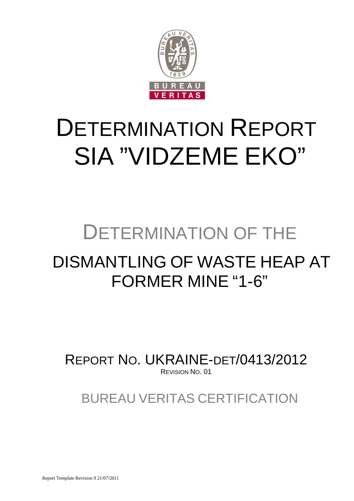

# DETERMINATION REPORT SIA "VIDZEME EKO"

# DETERMINATION OF THE

# DISMANTLING OF WASTE HEAP AT FORMER MINE "1-6"

REPORT NO. UKRAINE-DET/0413/2012 REVISION NO. 01

BUREAU VERITAS CERTIFICATION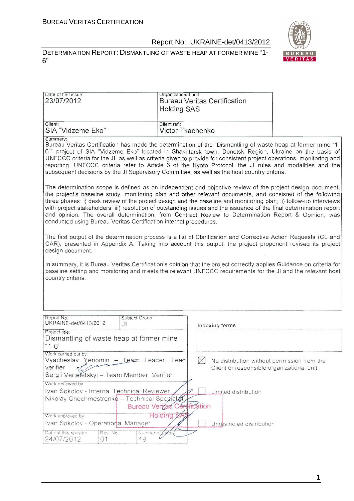



| Date of first issue:<br>23/07/2012                                                                                                                                                                                                                                                                                                                                                                                                                                                                                                                                | Organizational unit:<br><b>Holding SAS</b>                                                                                                                                                                                                                                                                                                                                                                                                                                                                                                                                                                                                      | <b>Bureau Veritas Certification</b> |  |  |  |  |  |
|-------------------------------------------------------------------------------------------------------------------------------------------------------------------------------------------------------------------------------------------------------------------------------------------------------------------------------------------------------------------------------------------------------------------------------------------------------------------------------------------------------------------------------------------------------------------|-------------------------------------------------------------------------------------------------------------------------------------------------------------------------------------------------------------------------------------------------------------------------------------------------------------------------------------------------------------------------------------------------------------------------------------------------------------------------------------------------------------------------------------------------------------------------------------------------------------------------------------------------|-------------------------------------|--|--|--|--|--|
| Client:<br>SIA "Vidzeme Eko"                                                                                                                                                                                                                                                                                                                                                                                                                                                                                                                                      | Client ref.:<br>Victor Tkachenko                                                                                                                                                                                                                                                                                                                                                                                                                                                                                                                                                                                                                |                                     |  |  |  |  |  |
| Summary:<br>Bureau Veritas Certification has made the determination of the "Dismantling of waste heap at former mine "1-<br>6"" project of SIA "Vidzeme Eko" located in Shakhtarsk town, Donetsk Region, Ukraine on the basis of<br>UNFCCC criteria for the JI, as well as criteria given to provide for consistent project operations, monitoring and<br>reporting. UNFCCC criteria refer to Article 6 of the Kyoto Protocol, the JI rules and modalities and the<br>subsequent decisions by the JI Supervisory Committee, as well as the host country criteria. |                                                                                                                                                                                                                                                                                                                                                                                                                                                                                                                                                                                                                                                 |                                     |  |  |  |  |  |
|                                                                                                                                                                                                                                                                                                                                                                                                                                                                                                                                                                   | The determination scope is defined as an independent and objective review of the project design document,<br>the project's baseline study, monitoring plan and other relevant documents, and consisted of the following<br>three phases: i) desk review of the project design and the baseline and monitoring plan; ii) follow-up interviews<br>with project stakeholders; iii) resolution of outstanding issues and the issuance of the final determination report<br>and opinion. The overall determination, from Contract Review to Determination Report & Opinion, was<br>conducted using Bureau Veritas Certification internal procedures. |                                     |  |  |  |  |  |
| The first output of the determination process is a list of Clarification and Corrective Action Requests (CL and<br>CAR), presented in Appendix A. Taking into account this output, the project proponent revised its project<br>design document.                                                                                                                                                                                                                                                                                                                  |                                                                                                                                                                                                                                                                                                                                                                                                                                                                                                                                                                                                                                                 |                                     |  |  |  |  |  |
| In summary, it is Bureau Veritas Certification's opinion that the project correctly applies Guidance on criteria for<br>baseline setting and monitoring and meets the relevant UNFCCC requirements for the JI and the relevant host<br>country criteria.                                                                                                                                                                                                                                                                                                          |                                                                                                                                                                                                                                                                                                                                                                                                                                                                                                                                                                                                                                                 |                                     |  |  |  |  |  |
|                                                                                                                                                                                                                                                                                                                                                                                                                                                                                                                                                                   |                                                                                                                                                                                                                                                                                                                                                                                                                                                                                                                                                                                                                                                 |                                     |  |  |  |  |  |
| Report No<br>Subject Group<br>UKRAINE-det/0413/2012<br>JI                                                                                                                                                                                                                                                                                                                                                                                                                                                                                                         |                                                                                                                                                                                                                                                                                                                                                                                                                                                                                                                                                                                                                                                 | Indexing terms                      |  |  |  |  |  |
| Project title:<br>Dismantling of waste heap at former mine<br>"1-6"                                                                                                                                                                                                                                                                                                                                                                                                                                                                                               |                                                                                                                                                                                                                                                                                                                                                                                                                                                                                                                                                                                                                                                 |                                     |  |  |  |  |  |
| Work carried out by:<br>Vyacheslav Yeriomin - Team-Leader, Lead<br>$\boxtimes$<br>No distribution without permission from the<br>verifier<br>Client or responsible organizational unit<br>Sergii Vertefetskyi - Team Member, Verifier                                                                                                                                                                                                                                                                                                                             |                                                                                                                                                                                                                                                                                                                                                                                                                                                                                                                                                                                                                                                 |                                     |  |  |  |  |  |

| Sergii Vertefetskyi - Team Member, Verifier   |         |                                     |                           |  |
|-----------------------------------------------|---------|-------------------------------------|---------------------------|--|
| Work reviewed by                              |         |                                     |                           |  |
| Ivan Sokolov - Internal Technical Reviewer    |         |                                     | imited distribution       |  |
| Nikolay Chechmestrenko - Technical Spegialist |         |                                     |                           |  |
|                                               |         | <b>Bureau Verizas Cértification</b> |                           |  |
| Work approved by                              |         | Holding S                           |                           |  |
| Ivan Sokolov - Operational Manager            |         |                                     | Unrestricted distribution |  |
| Date of this revision                         | Rev No. | Number of Cades                     |                           |  |
| 24/07/2012                                    |         | 49                                  |                           |  |

1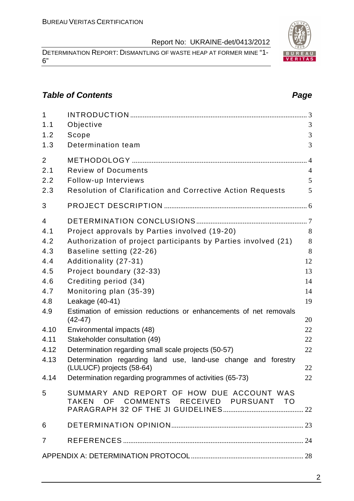DETERMINATION REPORT: DISMANTLING OF WASTE HEAP AT FORMER MINE "1- 6"

# **Table of Contents Page 2018**

| $\mathbf{1}$<br>1.1 | Objective                                                                                   | 3              |
|---------------------|---------------------------------------------------------------------------------------------|----------------|
| 1.2                 | Scope                                                                                       | $\mathfrak{Z}$ |
| 1.3                 | Determination team                                                                          | 3              |
| $\overline{2}$      |                                                                                             |                |
| 2.1                 | <b>Review of Documents</b>                                                                  | $\overline{4}$ |
| 2.2                 | Follow-up Interviews                                                                        | 5              |
| 2.3                 | Resolution of Clarification and Corrective Action Requests                                  | 5              |
| 3                   |                                                                                             |                |
| $\overline{4}$      |                                                                                             |                |
| 4.1                 | Project approvals by Parties involved (19-20)                                               | 8              |
| 4.2                 | Authorization of project participants by Parties involved (21)                              | 8              |
| 4.3                 | Baseline setting (22-26)                                                                    | 8              |
| 4.4                 | Additionality (27-31)                                                                       | 12             |
| 4.5                 | Project boundary (32-33)                                                                    | 13             |
| 4.6                 | Crediting period (34)                                                                       | 14             |
| 4.7                 | Monitoring plan (35-39)                                                                     | 14             |
| 4.8                 | Leakage (40-41)                                                                             | 19             |
| 4.9                 | Estimation of emission reductions or enhancements of net removals<br>$(42 - 47)$            | 20             |
| 4.10                | Environmental impacts (48)                                                                  | 22             |
| 4.11                | Stakeholder consultation (49)                                                               | 22             |
| 4.12                | Determination regarding small scale projects (50-57)                                        | 22             |
| 4.13                | Determination regarding land use, land-use change and forestry<br>(LULUCF) projects (58-64) | 22             |
|                     | 4.14 Determination regarding programmes of activities (65-73)                               | 22             |
| 5                   | SUMMARY AND REPORT OF HOW DUE ACCOUNT WAS<br>TAKEN OF COMMENTS RECEIVED PURSUANT TO         |                |
|                     |                                                                                             |                |
| 6                   |                                                                                             |                |
| $\overline{7}$      |                                                                                             |                |
|                     |                                                                                             |                |

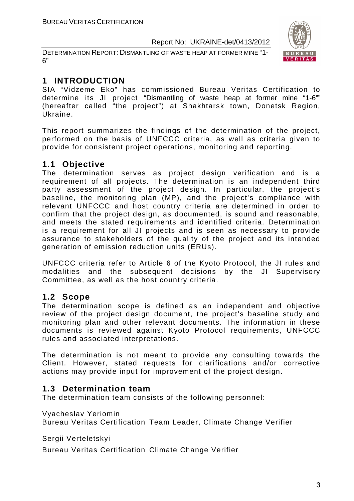DETERMINATION REPORT: DISMANTLING OF WASTE HEAP AT FORMER MINE "1- 6"



# **1 INTRODUCTION**

SIA "Vidzeme Eko" has commissioned Bureau Veritas Certification to determine its JI project "Dismantling of waste heap at former mine "1-6"" (hereafter called "the project") at Shakhtarsk town, Donetsk Region, Ukraine.

This report summarizes the findings of the determination of the project, performed on the basis of UNFCCC criteria, as well as criteria given to provide for consistent project operations, monitoring and reporting.

# **1.1 Objective**

The determination serves as project design verification and is a requirement of all projects. The determination is an independent third party assessment of the project design. In particular, the project's baseline, the monitoring plan (MP), and the project's compliance with relevant UNFCCC and host country criteria are determined in order to confirm that the project design, as documented, is sound and reasonable, and meets the stated requirements and identified criteria. Determination is a requirement for all JI projects and is seen as necessary to provide assurance to stakeholders of the quality of the project and its intended generation of emission reduction units (ERUs).

UNFCCC criteria refer to Article 6 of the Kyoto Protocol, the JI rules and modalities and the subsequent decisions by the JI Supervisory Committee, as well as the host country criteria.

# **1.2 Scope**

The determination scope is defined as an independent and objective review of the project design document, the project's baseline study and monitoring plan and other relevant documents. The information in these documents is reviewed against Kyoto Protocol requirements, UNFCCC rules and associated interpretations.

The determination is not meant to provide any consulting towards the Client. However, stated requests for clarifications and/or corrective actions may provide input for improvement of the project design.

# **1.3 Determination team**

The determination team consists of the following personnel:

Vyacheslav Yeriomin

Bureau Veritas Certification Team Leader, Climate Change Verifier

Sergii Verteletskyi

Bureau Veritas Certification Climate Change Verifier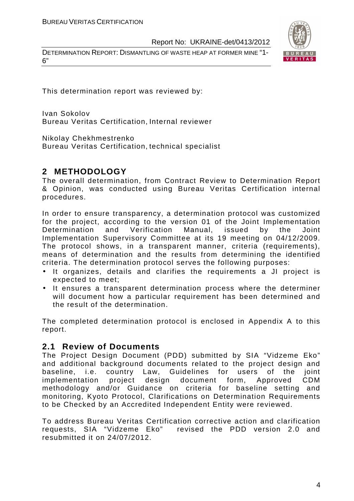DETERMINATION REPORT: DISMANTLING OF WASTE HEAP AT FORMER MINE "1- 6"



This determination report was reviewed by:

Ivan Sokolov Bureau Veritas Certification, Internal reviewer

Nikolay Chekhmestrenko

Bureau Veritas Certification, technical specialist

# **2 METHODOLOGY**

The overall determination, from Contract Review to Determination Report & Opinion, was conducted using Bureau Veritas Certification internal procedures.

In order to ensure transparency, a determination protocol was customized for the project, according to the version 01 of the Joint Implementation Determination and Verification Manual, issued by the Joint Implementation Supervisory Committee at its 19 meeting on 04/12/2009. The protocol shows, in a transparent manner, criteria (requirements), means of determination and the results from determining the identified criteria. The determination protocol serves the following purposes:

- It organizes, details and clarifies the requirements a JI project is expected to meet;
- It ensures a transparent determination process where the determiner will document how a particular requirement has been determined and the result of the determination.

The completed determination protocol is enclosed in Appendix A to this report.

### **2.1 Review of Documents**

The Project Design Document (PDD) submitted by SIA "Vidzeme Eko" and additional background documents related to the project design and baseline, i.e. country Law, Guidelines for users of the joint implementation project design document form, Approved CDM methodology and/or Guidance on criteria for baseline setting and monitoring, Kyoto Protocol, Clarifications on Determination Requirements to be Checked by an Accredited Independent Entity were reviewed.

To address Bureau Veritas Certification corrective action and clarification requests, SIA "Vidzeme Eko" revised the PDD version 2.0 and resubmitted it on 24/07/2012.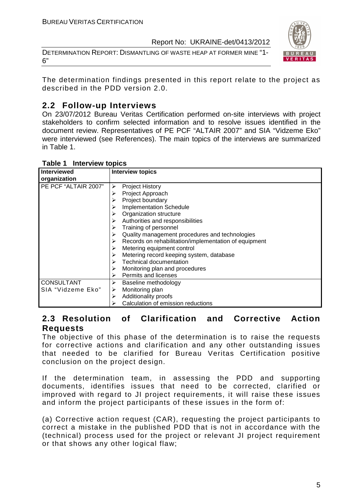DETERMINATION REPORT: DISMANTLING OF WASTE HEAP AT FORMER MINE "1- 6"



The determination findings presented in this report relate to the project as described in the PDD version 2.0.

# **2.2 Follow-up Interviews**

On 23/07/2012 Bureau Veritas Certification performed on-site interviews with project stakeholders to confirm selected information and to resolve issues identified in the document review. Representatives of PE PCF "ALTAIR 2007" and SIA "Vidzeme Eko" were interviewed (see References). The main topics of the interviews are summarized in Table 1.

| <b>Interviewed</b><br>organization | <b>Interview topics</b>                                    |
|------------------------------------|------------------------------------------------------------|
| PE PCF "ALTAIR 2007"               | <b>Project History</b><br>➤                                |
|                                    | Project Approach                                           |
|                                    | Project boundary<br>⋗                                      |
|                                    | <b>Implementation Schedule</b>                             |
|                                    | Organization structure                                     |
|                                    | Authorities and responsibilities                           |
|                                    | Training of personnel<br>⋗                                 |
|                                    | Quality management procedures and technologies<br>⋗        |
|                                    | Records on rehabilitation/implementation of equipment<br>⋗ |
|                                    | Metering equipment control                                 |
|                                    | Metering record keeping system, database                   |
|                                    | <b>Technical documentation</b>                             |
|                                    | Monitoring plan and procedures<br>➤                        |
|                                    | Permits and licenses<br>➤                                  |
| <b>CONSULTANT</b>                  | Baseline methodology<br>➤                                  |
| SIA "Vidzeme Eko"                  | Monitoring plan<br>➤                                       |
|                                    | Additionality proofs                                       |
|                                    | Calculation of emission reductions                         |

#### **Table 1 Interview topics**

### **2.3 Resolution of Clarification and Corrective Action Requests**

The objective of this phase of the determination is to raise the requests for corrective actions and clarification and any other outstanding issues that needed to be clarified for Bureau Veritas Certification positive conclusion on the project design.

If the determination team, in assessing the PDD and supporting documents, identifies issues that need to be corrected, clarified or improved with regard to JI project requirements, it will raise these issues and inform the project participants of these issues in the form of:

(a) Corrective action request (CAR), requesting the project participants to correct a mistake in the published PDD that is not in accordance with the (technical) process used for the project or relevant JI project requirement or that shows any other logical flaw;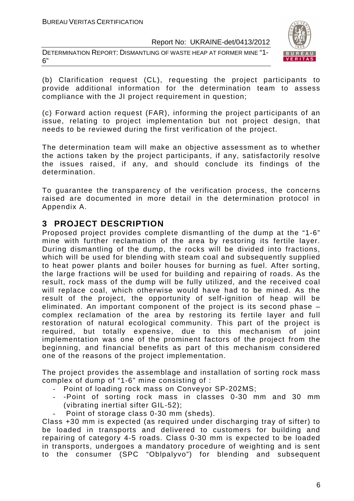DETERMINATION REPORT: DISMANTLING OF WASTE HEAP AT FORMER MINE "1- 6"



(b) Clarification request (CL), requesting the project participants to provide additional information for the determination team to assess compliance with the JI project requirement in question;

(c) Forward action request (FAR), informing the project participants of an issue, relating to project implementation but not project design, that needs to be reviewed during the first verification of the project.

The determination team will make an objective assessment as to whether the actions taken by the project participants, if any, satisfactorily resolve the issues raised, if any, and should conclude its findings of the determination.

To guarantee the transparency of the verification process, the concerns raised are documented in more detail in the determination protocol in Appendix A.

# **3 PROJECT DESCRIPTION**

Proposed project provides complete dismantling of the dump at the "1-6" mine with further reclamation of the area by restoring its fertile layer. During dismantling of the dump, the rocks will be divided into fractions, which will be used for blending with steam coal and subsequently supplied to heat power plants and boiler houses for burning as fuel. After sorting, the large fractions will be used for building and repairing of roads. As the result, rock mass of the dump will be fully utilized, and the received coal will replace coal, which otherwise would have had to be mined. As the result of the project, the opportunity of self-ignition of heap will be eliminated. An important component of the project is its second phase – complex reclamation of the area by restoring its fertile layer and full restoration of natural ecological community. This part of the project is required, but totally expensive, due to this mechanism of joint implementation was one of the prominent factors of the project from the beginning, and financial benefits as part of this mechanism considered one of the reasons of the project implementation.

The project provides the assemblage and installation of sorting rock mass complex of dump of "1-6" mine consisting of :

- Point of loading rock mass on Conveyor SP-202MS;
- -Point of sorting rock mass in classes 0-30 mm and 30 mm (vibrating inertial sifter GIL-52);
- Point of storage class 0-30 mm (sheds).

Class +30 mm is expected (as required under discharging tray of sifter) to be loaded in transports and delivered to customers for building and repairing of category 4-5 roads. Class 0-30 mm is expected to be loaded in transports, undergoes a mandatory procedure of weighting and is sent to the consumer (SPC "Oblpalyvo") for blending and subsequent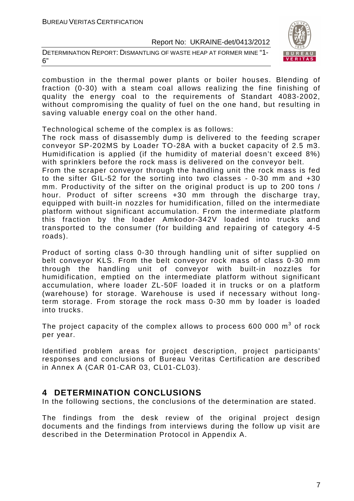DETERMINATION REPORT: DISMANTLING OF WASTE HEAP AT FORMER MINE "1- 6"



combustion in the thermal power plants or boiler houses. Blending of fraction (0-30) with a steam coal allows realizing the fine finishing of quality the energy coal to the requirements of Standart 4083-2002, without compromising the quality of fuel on the one hand, but resulting in saving valuable energy coal on the other hand.

Technological scheme of the complex is as follows:

The rock mass of disassembly dump is delivered to the feeding scraper conveyor SP-202MS by Loader TO-28A with a bucket capacity of 2.5 m3. Humidification is applied (if the humidity of material doesn't exceed 8%) with sprinklers before the rock mass is delivered on the conveyor belt. From the scraper conveyor through the handling unit the rock mass is fed to the sifter GIL-52 for the sorting into two classes - 0-30 mm and +30 mm. Productivity of the sifter on the original product is up to 200 tons / hour. Product of sifter screens +30 mm through the discharge tray, equipped with built-in nozzles for humidification, filled on the intermediate platform without significant accumulation. From the intermediate platform this fraction by the loader Amkodor-342V loaded into trucks and transported to the consumer (for building and repairing of category 4-5 roads).

Product of sorting class 0-30 through handling unit of sifter supplied on belt conveyor KLS. From the belt conveyor rock mass of class 0-30 mm through the handling unit of conveyor with built-in nozzles for humidification, emptied on the intermediate platform without significant accumulation, where loader ZL-50F loaded it in trucks or on a platform (warehouse) for storage. Warehouse is used if necessary without longterm storage. From storage the rock mass 0-30 mm by loader is loaded into trucks.

The project capacity of the complex allows to process 600 000  $\mathrm{m}^{3}$  of rock per year.

Identified problem areas for project description, project participants' responses and conclusions of Bureau Veritas Certification are described in Annex A (CAR 01-CAR 03, CL01-CL03).

# **4 DETERMINATION CONCLUSIONS**

In the following sections, the conclusions of the determination are stated.

The findings from the desk review of the original project design documents and the findings from interviews during the follow up visit are described in the Determination Protocol in Appendix A.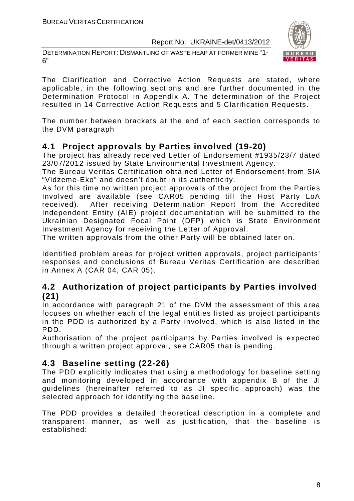DETERMINATION REPORT: DISMANTLING OF WASTE HEAP AT FORMER MINE "1- 6"



The Clarification and Corrective Action Requests are stated, where applicable, in the following sections and are further documented in the Determination Protocol in Appendix A. The determination of the Project resulted in 14 Corrective Action Requests and 5 Clarification Requests.

The number between brackets at the end of each section corresponds to the DVM paragraph

# **4.1 Project approvals by Parties involved (19-20)**

The project has already received Letter of Endorsement #1935/23/7 dated 23/07/2012 issued by State Environmental Investment Agency.

The Bureau Veritas Certification obtained Letter of Endorsement from SIA "Vidzeme-Eko" and doesn't doubt in its authenticity.

As for this time no written project approvals of the project from the Parties Involved are available (see CAR05 pending till the Host Party LoA received). After receiving Determination Report from the Accredited Independent Entity (AIE) project documentation will be submitted to the Ukrainian Designated Focal Point (DFP) which is State Environment Investment Agency for receiving the Letter of Approval.

The written approvals from the other Party will be obtained later on.

Identified problem areas for project written approvals, project participants' responses and conclusions of Bureau Veritas Certification are described in Annex A (CAR 04, CAR 05).

# **4.2 Authorization of project participants by Parties involved (21)**

In accordance with paragraph 21 of the DVM the assessment of this area focuses on whether each of the legal entities listed as project participants in the PDD is authorized by a Party involved, which is also listed in the PDD.

Authorisation of the project participants by Parties involved is expected through a written project approval, see CAR05 that is pending.

# **4.3 Baseline setting (22-26)**

The PDD explicitly indicates that using a methodology for baseline setting and monitoring developed in accordance with appendix B of the JI guidelines (hereinafter referred to as JI specific approach) was the selected approach for identifying the baseline.

The PDD provides a detailed theoretical description in a complete and transparent manner, as well as justification, that the baseline is established: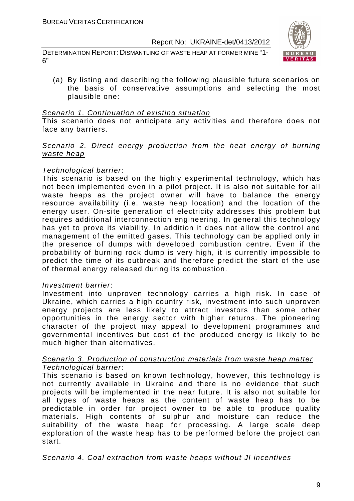DETERMINATION REPORT: DISMANTLING OF WASTE HEAP AT FORMER MINE "1- 6"



(a) By listing and describing the following plausible future scenarios on the basis of conservative assumptions and selecting the most plausible one:

#### Scenario 1. Continuation of existing situation

This scenario does not anticipate any activities and therefore does not face any barriers.

#### Scenario 2. Direct energy production from the heat energy of burning waste heap

#### Technological barrier:

This scenario is based on the highly experimental technology, which has not been implemented even in a pilot project. It is also not suitable for all waste heaps as the project owner will have to balance the energy resource availability (i.e. waste heap location) and the location of the energy user. On-site generation of electricity addresses this problem but requires additional interconnection engineering. In general this technology has yet to prove its viability. In addition it does not allow the control and management of the emitted gases. This technology can be applied only in the presence of dumps with developed combustion centre. Even if the probability of burning rock dump is very high, it is currently impossible to predict the time of its outbreak and therefore predict the start of the use of thermal energy released during its combustion.

#### Investment barrier:

Investment into unproven technology carries a high risk. In case of Ukraine, which carries a high country risk, investment into such unproven energy projects are less likely to attract investors than some other opportunities in the energy sector with higher returns. The pioneering character of the project may appeal to development programmes and governmental incentives but cost of the produced energy is likely to be much higher than alternatives.

#### Scenario 3. Production of construction materials from waste heap matter Technological barrier:

This scenario is based on known technology, however, this technology is not currently available in Ukraine and there is no evidence that such projects will be implemented in the near future. It is also not suitable for all types of waste heaps as the content of waste heap has to be predictable in order for project owner to be able to produce quality materials. High contents of sulphur and moisture can reduce the suitability of the waste heap for processing. A large scale deep exploration of the waste heap has to be performed before the project can start.

#### Scenario 4. Coal extraction from waste heaps without JI incentives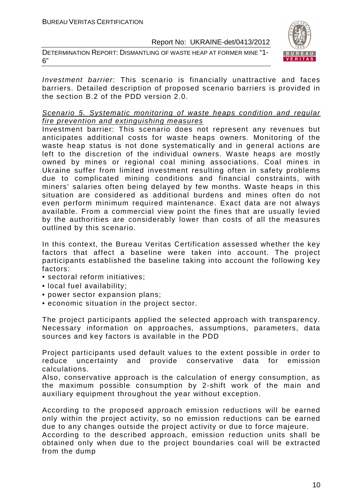DETERMINATION REPORT: DISMANTLING OF WASTE HEAP AT FORMER MINE "1- 6"



Investment barrier: This scenario is financially unattractive and faces barriers. Detailed description of proposed scenario barriers is provided in the section B.2 of the PDD version 2.0.

#### Scenario 5. Systematic monitoring of waste heaps condition and regular fire prevention and extinguishing measures

Investment barrier: This scenario does not represent any revenues but anticipates additional costs for waste heaps owners. Monitoring of the waste heap status is not done systematically and in general actions are left to the discretion of the individual owners. Waste heaps are mostly owned by mines or regional coal mining associations. Coal mines in Ukraine suffer from limited investment resulting often in safety problems due to complicated mining conditions and financial constraints, with miners' salaries often being delayed by few months. Waste heaps in this situation are considered as additional burdens and mines often do not even perform minimum required maintenance. Exact data are not always available. From a commercial view point the fines that are usually levied by the authorities are considerably lower than costs of all the measures outlined by this scenario.

In this context, the Bureau Veritas Certification assessed whether the key factors that affect a baseline were taken into account. The project participants established the baseline taking into account the following key factors:

- sectoral reform initiatives;
- local fuel availability;
- power sector expansion plans;
- economic situation in the project sector.

The project participants applied the selected approach with transparency. Necessary information on approaches, assumptions, parameters, data sources and key factors is available in the PDD

Project participants used default values to the extent possible in order to reduce uncertainty and provide conservative data for emission calculations.

Also, conservative approach is the calculation of energy consumption, as the maximum possible consumption by 2-shift work of the main and auxiliary equipment throughout the year without exception.

According to the proposed approach emission reductions will be earned only within the project activity, so no emission reductions can be earned due to any changes outside the project activity or due to force majeure. According to the described approach, emission reduction units shall be obtained only when due to the project boundaries coal will be extracted from the dump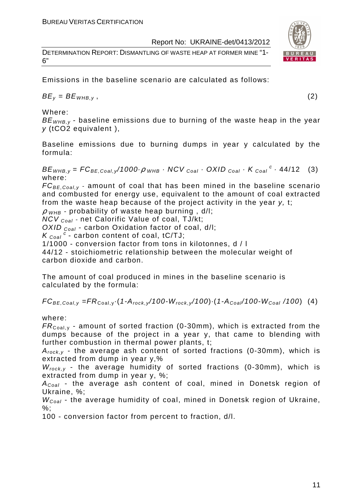DETERMINATION REPORT: DISMANTLING OF WASTE HEAP AT FORMER MINE "1- 6"

Emissions in the baseline scenario are calculated as follows:

 $BE_v = BE_{WHB.v}$ , (2)

Where:

 $BE<sub>WHB-V</sub>$  - baseline emissions due to burning of the waste heap in the year y (tCO2 equivalent ),

Baseline emissions due to burning dumps in year y calculated by the formula:

 $BE_{WHB,y} = FC_{BE,Coal,y}/1000 \cdot \rho_{WHB} \cdot NCV_{Coal} \cdot OXID_{Coal} \cdot K_{Coal}^c \cdot 44/12$  (3) where:

 $FC_{BE,Coal,v}$  - amount of coal that has been mined in the baseline scenario and combusted for energy use, equivalent to the amount of coal extracted from the waste heap because of the project activity in the year y, t;

 $\rho$  <sub>WHB</sub> - probability of waste heap burning, d/l;

NCV Coal - net Calorific Value of coal, TJ/kt;

OXID  $_{Coal}$  - carbon Oxidation factor of coal, d/l;

 $K_{\text{Coal}}^c$  - carbon content of coal, tC/TJ;

1/1000 - conversion factor from tons in kilotonnes, d / l

44/12 - stoichiometric relationship between the molecular weight of carbon dioxide and carbon.

The amount of coal produced in mines in the baseline scenario is calculated by the formula:

 $FC_{BE,Coal,y} = FR_{Coal,y} \cdot (1-A_{rock,y}/100-W_{rock,y}/100) \cdot (1-A_{Coal}/100-W_{Coal}/100)$  (4)

where:

 $FR_{\text{Coal,v}}$  - amount of sorted fraction (0-30mm), which is extracted from the dumps because of the project in a year y, that came to blending with further combustion in thermal power plants, t;

 $A_{rock, v}$  - the average ash content of sorted fractions (0-30mm), which is extracted from dump in year y,%

 $W_{rock,y}$  - the average humidity of sorted fractions (0-30mm), which is extracted from dump in year y, %;

 $A_{Coal}$  - the average ash content of coal, mined in Donetsk region of Ukraine, %;

 $W_{Coal}$  - the average humidity of coal, mined in Donetsk region of Ukraine,  $\%$ :

100 - conversion factor from percent to fraction, d/l.

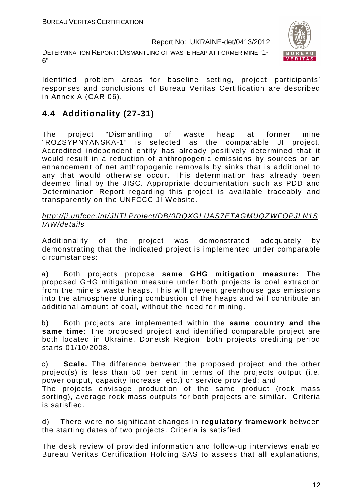DETERMINATION REPORT: DISMANTLING OF WASTE HEAP AT FORMER MINE "1- 6"



Identified problem areas for baseline setting, project participants' responses and conclusions of Bureau Veritas Certification are described in Annex A (CAR 06).

# **4.4 Additionality (27-31)**

The project "Dismantling of waste heap at former mine "ROZSYPNYANSKA-1" is selected as the comparable JI project. Accredited independent entity has already positively determined that it would result in a reduction of anthropogenic emissions by sources or an enhancement of net anthropogenic removals by sinks that is additional to any that would otherwise occur. This determination has already been deemed final by the JISC. Appropriate documentation such as PDD and Determination Report regarding this project is available traceably and transparently on the UNFCCC JI Website.

#### http://ji.unfccc.int/JIITLProject/DB/0RQXGLUAS7ETAGMUQZWFQPJLN1S IAW/details

Additionality of the project was demonstrated adequately by demonstrating that the indicated project is implemented under comparable circumstances:

a) Both projects propose **same GHG mitigation measure:** The proposed GHG mitigation measure under both projects is coal extraction from the mine's waste heaps. This will prevent greenhouse gas emissions into the atmosphere during combustion of the heaps and will contribute an additional amount of coal, without the need for mining.

b) Both projects are implemented within the **same country and the same time**: The proposed project and identified comparable project are both located in Ukraine, Donetsk Region, both projects crediting period starts 01/10/2008.

c) **Scale.** The difference between the proposed project and the other project(s) is less than 50 per cent in terms of the projects output (i.e. power output, capacity increase, etc.) or service provided; and The projects envisage production of the same product (rock mass sorting), average rock mass outputs for both projects are similar. Criteria is satisfied.

d) There were no significant changes in **regulatory framework** between the starting dates of two projects. Criteria is satisfied.

The desk review of provided information and follow-up interviews enabled Bureau Veritas Certification Holding SAS to assess that all explanations,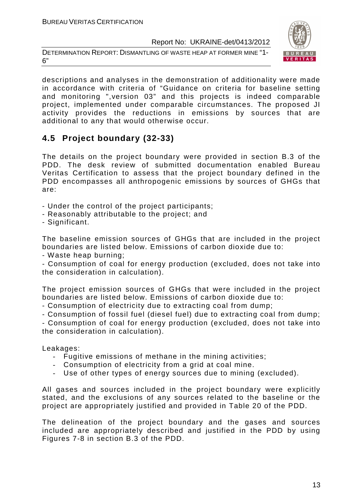DETERMINATION REPORT: DISMANTLING OF WASTE HEAP AT FORMER MINE "1- 6"



descriptions and analyses in the demonstration of additionality were made in accordance with criteria of "Guidance on criteria for baseline setting and monitoring ",version 03" and this projects is indeed comparable project, implemented under comparable circumstances. The proposed JI activity provides the reductions in emissions by sources that are additional to any that would otherwise occur.

# **4.5 Project boundary (32-33)**

The details on the project boundary were provided in section B.3 of the PDD. The desk review of submitted documentation enabled Bureau Veritas Certification to assess that the project boundary defined in the PDD encompasses all anthropogenic emissions by sources of GHGs that are:

- Under the control of the project participants;
- Reasonably attributable to the project; and
- Significant.

The baseline emission sources of GHGs that are included in the project boundaries are listed below. Emissions of carbon dioxide due to:

- Waste heap burning;

- Consumption of coal for energy production (excluded, does not take into the consideration in calculation).

The project emission sources of GHGs that were included in the project boundaries are listed below. Emissions of carbon dioxide due to:

- Consumption of electricity due to extracting coal from dump;
- Consumption of fossil fuel (diesel fuel) due to extracting coal from dump;

- Consumption of coal for energy production (excluded, does not take into the consideration in calculation).

Leakages:

- Fugitive emissions of methane in the mining activities;
- Consumption of electricity from a grid at coal mine.
- Use of other types of energy sources due to mining (excluded).

All gases and sources included in the project boundary were explicitly stated, and the exclusions of any sources related to the baseline or the project are appropriately justified and provided in Table 20 of the PDD.

The delineation of the project boundary and the gases and sources included are appropriately described and justified in the PDD by using Figures 7-8 in section B.3 of the PDD.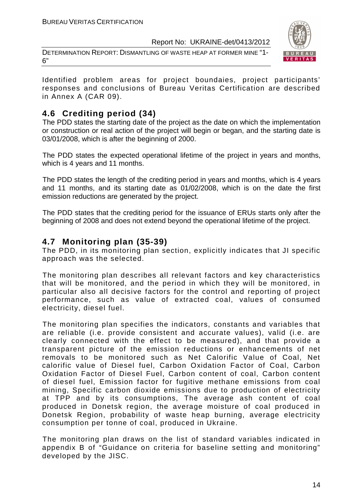DETERMINATION REPORT: DISMANTLING OF WASTE HEAP AT FORMER MINE "1- 6"



Identified problem areas for project boundaies, project participants' responses and conclusions of Bureau Veritas Certification are described in Annex A (CAR 09).

# **4.6 Crediting period (34)**

The PDD states the starting date of the project as the date on which the implementation or construction or real action of the project will begin or began, and the starting date is 03/01/2008, which is after the beginning of 2000.

The PDD states the expected operational lifetime of the project in years and months, which is 4 years and 11 months.

The PDD states the length of the crediting period in years and months, which is 4 years and 11 months, and its starting date as 01/02/2008, which is on the date the first emission reductions are generated by the project.

The PDD states that the crediting period for the issuance of ERUs starts only after the beginning of 2008 and does not extend beyond the operational lifetime of the project.

# **4.7 Monitoring plan (35-39)**

The PDD, in its monitoring plan section, explicitly indicates that JI specific approach was the selected.

The monitoring plan describes all relevant factors and key characteristics that will be monitored, and the period in which they will be monitored, in particular also all decisive factors for the control and reporting of project performance, such as value of extracted coal, values of consumed electricity, diesel fuel.

The monitoring plan specifies the indicators, constants and variables that are reliable (i.e. provide consistent and accurate values), valid (i.e. are clearly connected with the effect to be measured), and that provide a transparent picture of the emission reductions or enhancements of net removals to be monitored such as Net Calorific Value of Coal, Net calorific value of Diesel fuel, Carbon Oxidation Factor of Coal, Carbon Oxidation Factor of Diesel Fuel, Carbon content of coal, Carbon content of diesel fuel, Emission factor for fugitive methane emissions from coal mining, Specific carbon dioxide emissions due to production of electricity at TPP and by its consumptions, The average ash content of coal produced in Donetsk region, the average moisture of coal produced in Donetsk Region, probability of waste heap burning, average electricity consumption per tonne of coal, produced in Ukraine.

The monitoring plan draws on the list of standard variables indicated in appendix B of "Guidance on criteria for baseline setting and monitoring" developed by the JISC.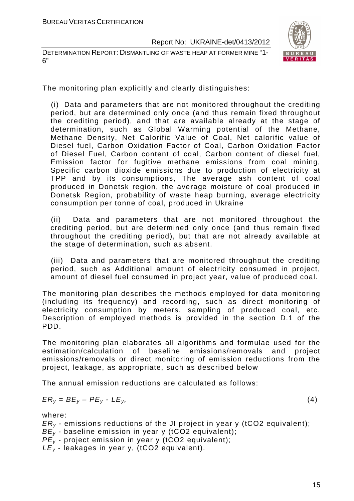DETERMINATION REPORT: DISMANTLING OF WASTE HEAP AT FORMER MINE "1- 6"



The monitoring plan explicitly and clearly distinguishes:

(i) Data and parameters that are not monitored throughout the crediting period, but are determined only once (and thus remain fixed throughout the crediting period), and that are available already at the stage of determination, such as Global Warming potential of the Methane, Methane Density, Net Calorific Value of Coal, Net calorific value of Diesel fuel, Carbon Oxidation Factor of Coal, Carbon Oxidation Factor of Diesel Fuel, Carbon content of coal, Carbon content of diesel fuel, Emission factor for fugitive methane emissions from coal mining, Specific carbon dioxide emissions due to production of electricity at TPP and by its consumptions, The average ash content of coal produced in Donetsk region, the average moisture of coal produced in Donetsk Region, probability of waste heap burning, average electricity consumption per tonne of coal, produced in Ukraine

(ii) Data and parameters that are not monitored throughout the crediting period, but are determined only once (and thus remain fixed throughout the crediting period), but that are not already available at the stage of determination, such as absent.

(iii) Data and parameters that are monitored throughout the crediting period, such as Additional amount of electricity consumed in project, amount of diesel fuel consumed in project year, value of produced coal.

The monitoring plan describes the methods employed for data monitoring (including its frequency) and recording, such as direct monitoring of electricity consumption by meters, sampling of produced coal, etc. Description of employed methods is provided in the section D.1 of the PDD.

The monitoring plan elaborates all algorithms and formulae used for the estimation/calculation of baseline emissions/removals and project emissions/removals or direct monitoring of emission reductions from the project, leakage, as appropriate, such as described below

The annual emission reductions are calculated as follows:

$$
ER_y = BE_y - PE_y - LE_y, \tag{4}
$$

where:

- $ER<sub>v</sub>$  emissions reductions of the JI project in year y (tCO2 equivalent);
- $BE_v$  baseline emission in year y (tCO2 equivalent);
- $PE<sub>y</sub>$  project emission in year y (tCO2 equivalent);
- $LE_v$  leakages in year y, (tCO2 equivalent).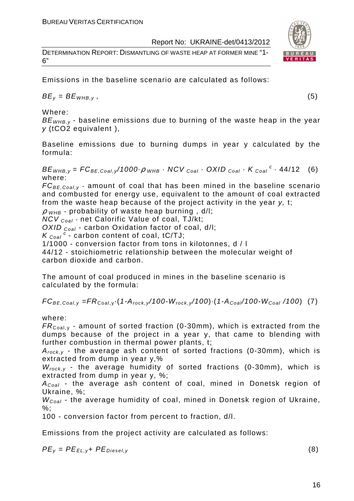DETERMINATION REPORT: DISMANTLING OF WASTE HEAP AT FORMER MINE "1- 6"

Emissions in the baseline scenario are calculated as follows:

 $BE_v = BE_{WHB.v}$ , (5)

Where:

 $BE<sub>WHB-V</sub>$  - baseline emissions due to burning of the waste heap in the year y (tCO2 equivalent ),

Baseline emissions due to burning dumps in year y calculated by the formula:

 $BE_{WHB,y} = FC_{BE,Coal,y}$ /1000 $\rho_{WHB}$  · NCV  $_{Coal}$  · OXID  $_{Coal}$  · K  $_{Coal}$  <sup>c</sup> · 44/12 (6) where:

 $FC_{BE,Coal,v}$  - amount of coal that has been mined in the baseline scenario and combusted for energy use, equivalent to the amount of coal extracted from the waste heap because of the project activity in the year y, t;

 $\rho$  <sub>WHB</sub> - probability of waste heap burning, d/l;

NCV Coal - net Calorific Value of coal, TJ/kt;

OXID  $_{Coal}$  - carbon Oxidation factor of coal, d/l;

 $K_{\text{Coal}}^c$  - carbon content of coal, tC/TJ;

1/1000 - conversion factor from tons in kilotonnes, d / l

44/12 - stoichiometric relationship between the molecular weight of carbon dioxide and carbon.

The amount of coal produced in mines in the baseline scenario is calculated by the formula:

 $FC_{BE,Coal,y} = FR_{Coal,y} \cdot (1-A_{rock,y}/100-W_{rock,y}/100) \cdot (1-A_{Coal}/100-W_{Coal}/100)$  (7)

where:

 $FR_{\text{Coal,v}}$  - amount of sorted fraction (0-30mm), which is extracted from the dumps because of the project in a year y, that came to blending with further combustion in thermal power plants, t;

 $A_{rock, v}$  - the average ash content of sorted fractions (0-30mm), which is extracted from dump in year y,%

 $W_{rock,y}$  - the average humidity of sorted fractions (0-30mm), which is extracted from dump in year y, %;

 $A_{Coal}$  - the average ash content of coal, mined in Donetsk region of Ukraine, %;

 $W_{Coal}$  - the average humidity of coal, mined in Donetsk region of Ukraine,  $\%$ :

100 - conversion factor from percent to fraction, d/l.

Emissions from the project activity are calculated as follows:

 $PE_v = PE_{F\cup v} + PE_{Diesel,v}$  (8)

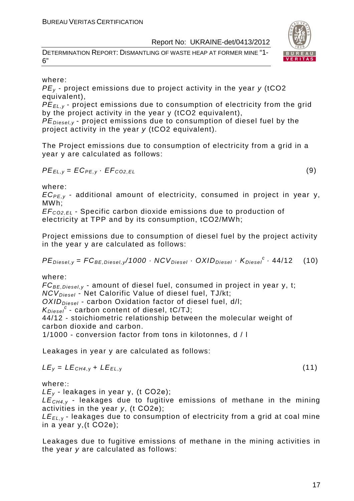DETERMINATION REPORT: DISMANTLING OF WASTE HEAP AT FORMER MINE "1- 6"



 $PE<sub>v</sub>$  - project emissions due to project activity in the year  $v$  (tCO2 equivalent),

PE<sub>EL,y</sub> - project emissions due to consumption of electricity from the grid by the project activity in the year y (tCO2 equivalent),

 $PE_{\text{Diesel v}}$  - project emissions due to consumption of diesel fuel by the project activity in the year y (tCO2 equivalent).

The Project emissions due to consumption of electricity from a grid in a year y are calculated as follows:

 $PE_{EL, v} = EC_{PE, v} \cdot EF_{CO2, EL}$  (9)

where:

 $EC_{PE,V}$  - additional amount of electricity, consumed in project in year y, MWh;

EF<sup>C</sup>*О*2,EL - Specific carbon dioxide emissions due to production of electricity at TPP and by its consumption, tCO2/MWh;

Project emissions due to consumption of diesel fuel by the project activity in the year y are calculated as follows:

 $PE_{\text{Diesel},y} = FC_{BE,\text{Diesel},y}/1000 \cdot NCV_{\text{Diesel}} \cdot OXID_{\text{Diesel}} \cdot K_{\text{Diesel}}^c \cdot 44/12$  (10)

where:

 $FC_{BE, Diesel, y}$  - amount of diesel fuel, consumed in project in year y, t;  $NCV<sub>Diesel</sub>$  - Net Calorific Value of diesel fuel, TJ/kt;  $OXID<sub>Diesel</sub>$  - carbon Oxidation factor of diesel fuel, d/l;  $K_{\text{Diesel}}^c$  - carbon content of diesel, tC/TJ; 44/12 - stoichiometric relationship between the molecular weight of carbon dioxide and carbon.

1/1000 - conversion factor from tons in kilotonnes, d / l

Leakages in year y are calculated as follows:

$$
LE_y = LE_{CH4,y} + LE_{EL,y}
$$
 (11)

where::

 $LE<sub>v</sub>$  - leakages in year y, (t CO2e);

 $LE<sub>CH4,V</sub>$  - leakages due to fugitive emissions of methane in the mining activities in the year y, (t СО2е);

 $LE_{FL, y}$  - leakages due to consumption of electricity from a grid at coal mine in a year y,(t СО2е);

Leakages due to fugitive emissions of methane in the mining activities in the year y are calculated as follows:



$$
(11)
$$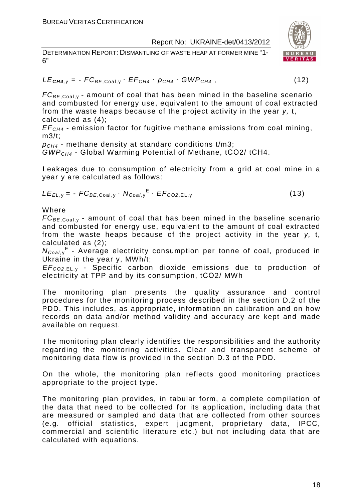DETERMINATION REPORT: DISMANTLING OF WASTE HEAP AT FORMER MINE "1- 6"

### $LE_{\text{CH4, V}} = -FC_{BE, \text{Coal}, V} \cdot EF_{\text{CH4}} \cdot \rho_{\text{CH4}} \cdot GWP_{\text{CH4}}$ , (12)

 $FC_{BE, coal,v}$  - amount of coal that has been mined in the baseline scenario and combusted for energy use, equivalent to the amount of coal extracted from the waste heaps because of the project activity in the year y, t, calculated as (4);

 $EF<sub>CH4</sub>$  - emission factor for fugitive methane emissions from coal mining, m3/t;

 $\rho_{CH4}$  - methane density at standard conditions t/m3;

GWPCH4 - Global Warming Potential of Methane, tСО2/ tСН4.

Leakages due to consumption of electricity from a grid at coal mine in a year y are calculated as follows:

$$
LE_{EL,y} = -FC_{BE,Coal,y} \cdot N_{Coal,y}^{E} \cdot EF_{CO2,EL,y}
$$
 (13)

Where

 $FC_{BE,Coal,v}$  - amount of coal that has been mined in the baseline scenario and combusted for energy use, equivalent to the amount of coal extracted from the waste heaps because of the project activity in the year y, t, calculated as (2);

N<sub>Coal,y</sub><sup>E</sup> - Average electricity consumption per tonne of coal, produced in Ukraine in the year y, MWh/t;

EF<sup>C</sup>*О*2,EL, <sup>у</sup> - Specific carbon dioxide emissions due to production of electricity at TPP and by its consumption, tСО2/ MWh

The monitoring plan presents the quality assurance and control procedures for the monitoring process described in the section D.2 of the PDD. This includes, as appropriate, information on calibration and on how records on data and/or method validity and accuracy are kept and made available on request.

The monitoring plan clearly identifies the responsibilities and the authority regarding the monitoring activities. Clear and transparent scheme of monitoring data flow is provided in the section D.3 of the PDD.

On the whole, the monitoring plan reflects good monitoring practices appropriate to the project type.

The monitoring plan provides, in tabular form, a complete compilation of the data that need to be collected for its application, including data that are measured or sampled and data that are collected from other sources (e.g. official statistics, expert judgment, proprietary data, IPCC, commercial and scientific literature etc.) but not including data that are calculated with equations.

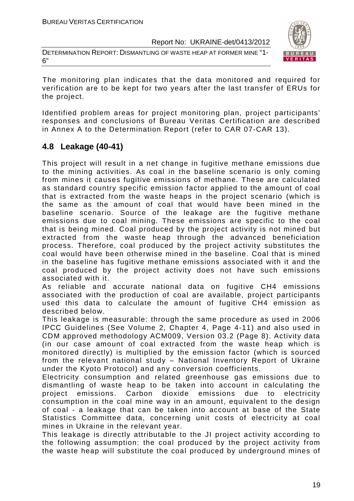DETERMINATION REPORT: DISMANTLING OF WASTE HEAP AT FORMER MINE "1- 6"



The monitoring plan indicates that the data monitored and required for verification are to be kept for two years after the last transfer of ERUs for the project.

Identified problem areas for project monitoring plan, project participants' responses and conclusions of Bureau Veritas Certification are described in Annex A to the Determination Report (refer to CAR 07-CAR 13).

# **4.8 Leakage (40-41)**

This project will result in a net change in fugitive methane emissions due to the mining activities. As coal in the baseline scenario is only coming from mines it causes fugitive emissions of methane. These are calculated as standard country specific emission factor applied to the amount of coal that is extracted from the waste heaps in the project scenario (which is the same as the amount of coal that would have been mined in the baseline scenario. Source of the leakage are the fugitive methane emissions due to coal mining. These emissions are specific to the coal that is being mined. Coal produced by the project activity is not mined but extracted from the waste heap through the advanced beneficiation process. Therefore, coal produced by the project activity substitutes the coal would have been otherwise mined in the baseline. Coal that is mined in the baseline has fugitive methane emissions associated with it and the coal produced by the project activity does not have such emissions associated with it.

As reliable and accurate national data on fugitive CH4 emissions associated with the production of coal are available, project participants used this data to calculate the amount of fugitive CH4 emission as described below.

This leakage is measurable: through the same procedure as used in 2006 IPCC Guidelines (See Volume 2, Chapter 4, Page 4-11) and also used in CDM approved methodology ACM009, Version 03.2 (Page 8). Activity data (in our case amount of coal extracted from the waste heap which is monitored directly) is multiplied by the emission factor (which is sourced from the relevant national study – National Inventory Report of Ukraine under the Kyoto Protocol) and any conversion coefficients.

Electricity consumption and related greenhouse gas emissions due to dismantling of waste heap to be taken into account in calculating the project emissions. Carbon dioxide emissions due to electricity consumption in the coal mine way in an amount, equivalent to the design of coal - a leakage that can be taken into account at base of the State Statistics Committee data, concerning unit costs of electricity at coal mines in Ukraine in the relevant year.

This leakage is directly attributable to the JI project activity according to the following assumption: the coal produced by the project activity from the waste heap will substitute the coal produced by underground mines of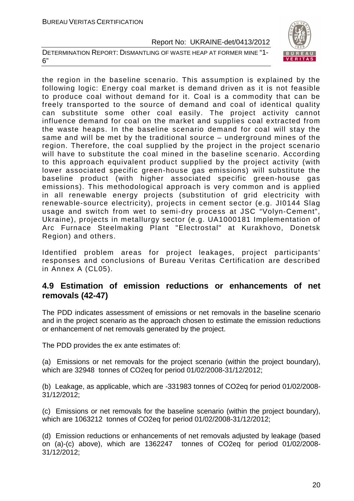DETERMINATION REPORT: DISMANTLING OF WASTE HEAP AT FORMER MINE "1- 6"



the region in the baseline scenario. This assumption is explained by the following logic: Energy coal market is demand driven as it is not feasible to produce coal without demand for it. Coal is a commodity that can be freely transported to the source of demand and coal of identical quality can substitute some other coal easily. The project activity cannot influence demand for coal on the market and supplies coal extracted from the waste heaps. In the baseline scenario demand for coal will stay the same and will be met by the traditional source – underground mines of the region. Therefore, the coal supplied by the project in the project scenario will have to substitute the coal mined in the baseline scenario. According to this approach equivalent product supplied by the project activity (with lower associated specific green-house gas emissions) will substitute the baseline product (with higher associated specific green-house gas emissions). This methodological approach is very common and is applied in all renewable energy projects (substitution of grid electricity with renewable-source electricity), projects in cement sector (e.g. JI0144 Slag usage and switch from wet to semi-dry process at JSC "Volyn-Cement", Ukraine), projects in metallurgy sector (e.g. UA1000181 Implementation of Arc Furnace Steelmaking Plant "Electrostal" at Kurakhovo, Donetsk Region) and others.

Identified problem areas for project leakages, project participants' responses and conclusions of Bureau Veritas Certification are described in Annex A (CL05).

### **4.9 Estimation of emission reductions or enhancements of net removals (42-47)**

The PDD indicates assessment of emissions or net removals in the baseline scenario and in the project scenario as the approach chosen to estimate the emission reductions or enhancement of net removals generated by the project.

The PDD provides the ex ante estimates of:

(a) Emissions or net removals for the project scenario (within the project boundary), which are 32948 tonnes of CO2eq for period 01/02/2008-31/12/2012;

(b) Leakage, as applicable, which are -331983 tonnes of CO2eq for period 01/02/2008- 31/12/2012;

(c) Emissions or net removals for the baseline scenario (within the project boundary), which are 1063212 tonnes of CO2eq for period 01/02/2008-31/12/2012;

(d) Emission reductions or enhancements of net removals adjusted by leakage (based on (a)-(c) above), which are 1362247 tonnes of CO2eq for period 01/02/2008- 31/12/2012;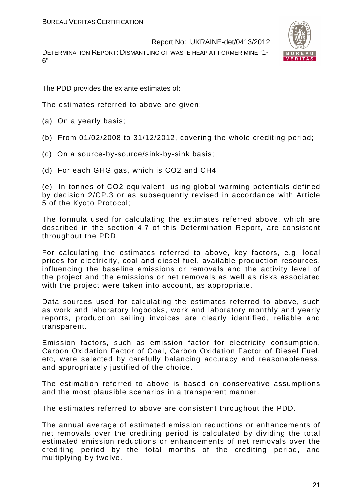DETERMINATION REPORT: DISMANTLING OF WASTE HEAP AT FORMER MINE "1- 6"



The PDD provides the ex ante estimates of:

The estimates referred to above are given:

- (a) On a yearly basis;
- (b) From 01/02/2008 to 31/12/2012, covering the whole crediting period;
- (c) On a source-by-source/sink-by-sink basis;
- (d) For each GHG gas, which is CO2 and CH4

(e) In tonnes of CO2 equivalent, using global warming potentials defined by decision 2/CP.3 or as subsequently revised in accordance with Article 5 of the Kyoto Protocol;

The formula used for calculating the estimates referred above, which are described in the section 4.7 of this Determination Report, are consistent throughout the PDD.

For calculating the estimates referred to above, key factors, e.g. local prices for electricity, coal and diesel fuel, available production resources, influencing the baseline emissions or removals and the activity level of the project and the emissions or net removals as well as risks associated with the project were taken into account, as appropriate.

Data sources used for calculating the estimates referred to above, such as work and laboratory logbooks, work and laboratory monthly and yearly reports, production sailing invoices are clearly identified, reliable and transparent.

Emission factors, such as emission factor for electricity consumption, Carbon Oxidation Factor of Coal, Carbon Oxidation Factor of Diesel Fuel, etc, were selected by carefully balancing accuracy and reasonableness, and appropriately justified of the choice.

The estimation referred to above is based on conservative assumptions and the most plausible scenarios in a transparent manner.

The estimates referred to above are consistent throughout the PDD.

The annual average of estimated emission reductions or enhancements of net removals over the crediting period is calculated by dividing the total estimated emission reductions or enhancements of net removals over the crediting period by the total months of the crediting period, and multiplying by twelve.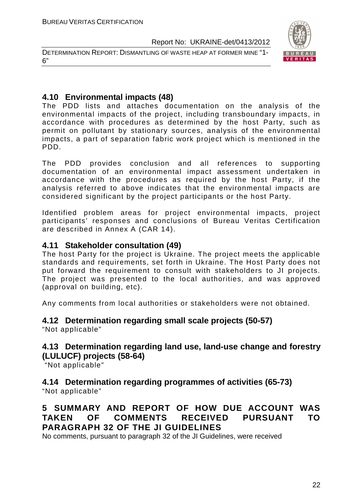DETERMINATION REPORT: DISMANTLING OF WASTE HEAP AT FORMER MINE "1- 6"



# **4.10 Environmental impacts (48)**

The PDD lists and attaches documentation on the analysis of the environmental impacts of the project, including transboundary impacts, in accordance with procedures as determined by the host Party, such as permit on pollutant by stationary sources, analysis of the environmental impacts, a part of separation fabric work project which is mentioned in the PDD.

The PDD provides conclusion and all references to supporting documentation of an environmental impact assessment undertaken in accordance with the procedures as required by the host Party, if the analysis referred to above indicates that the environmental impacts are considered significant by the project participants or the host Party.

Identified problem areas for project environmental impacts, project participants' responses and conclusions of Bureau Veritas Certification are described in Annex A (CAR 14).

#### **4.11 Stakeholder consultation (49)**

The host Party for the project is Ukraine. The project meets the applicable standards and requirements, set forth in Ukraine. The Host Party does not put forward the requirement to consult with stakeholders to JI projects. The project was presented to the local authorities, and was approved (approval on building, etc).

Any comments from local authorities or stakeholders were not obtained.

# **4.12 Determination regarding small scale projects (50-57)**

"Not applicable"

# **4.13 Determination regarding land use, land-use change and forestry (LULUCF) projects (58-64)**

"Not applicable"

# **4.14 Determination regarding programmes of activities (65-73)**

"Not applicable"

# **5 SUMMARY AND REPORT OF HOW DUE ACCOUNT WAS TAKEN OF COMMENTS RECEIVED PURSUANT TO PARAGRAPH 32 OF THE JI GUIDELINES**

No comments, pursuant to paragraph 32 of the JI Guidelines, were received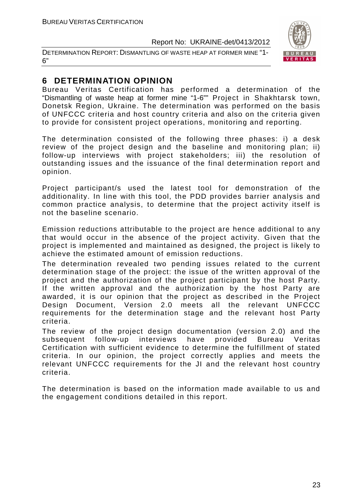DETERMINATION REPORT: DISMANTLING OF WASTE HEAP AT FORMER MINE "1- 6"



# **6 DETERMINATION OPINION**

Bureau Veritas Certification has performed a determination of the "Dismantling of waste heap at former mine "1-6"" Project in Shakhtarsk town, Donetsk Region, Ukraine. The determination was performed on the basis of UNFCCC criteria and host country criteria and also on the criteria given to provide for consistent project operations, monitoring and reporting.

The determination consisted of the following three phases: i) a desk review of the project design and the baseline and monitoring plan; ii) follow-up interviews with project stakeholders; iii) the resolution of outstanding issues and the issuance of the final determination report and opinion.

Project participant/s used the latest tool for demonstration of the additionality. In line with this tool, the PDD provides barrier analysis and common practice analysis, to determine that the project activity itself is not the baseline scenario.

Emission reductions attributable to the project are hence additional to any that would occur in the absence of the project activity. Given that the project is implemented and maintained as designed, the project is likely to achieve the estimated amount of emission reductions.

The determination revealed two pending issues related to the current determination stage of the project: the issue of the written approval of the project and the authorization of the project participant by the host Party. If the written approval and the authorization by the host Party are awarded, it is our opinion that the project as described in the Project Design Document, Version 2.0 meets all the relevant UNFCCC requirements for the determination stage and the relevant host Party criteria.

The review of the project design documentation (version 2.0) and the subsequent follow-up interviews have provided Bureau Veritas Certification with sufficient evidence to determine the fulfillment of stated criteria. In our opinion, the project correctly applies and meets the relevant UNFCCC requirements for the JI and the relevant host country criteria.

The determination is based on the information made available to us and the engagement conditions detailed in this report.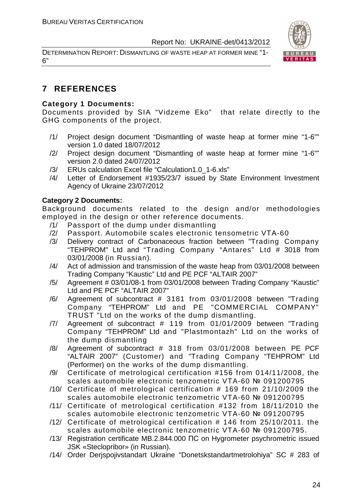DETERMINATION REPORT: DISMANTLING OF WASTE HEAP AT FORMER MINE "1- 6"



# **7 REFERENCES**

#### **Category 1 Documents:**

Documents provided by SIA "Vidzeme Eko" that relate directly to the GHG components of the project.

- /1/ Project design document "Dismantling of waste heap at former mine "1-6"" version 1.0 dated 18/07/2012
- /2/ Project design document "Dismantling of waste heap at former mine "1-6"" version 2.0 dated 24/07/2012
- /3/ ERUs calculation Excel file "Calculation1.0\_1-6.xls"
- /4/ Letter of Endorsement #1935/23/7 issued by State Environment Investment Agency of Ukraine 23/07/2012

#### **Category 2 Documents:**

Background documents related to the design and/or methodologies employed in the design or other reference documents.

- /1/ Passport of the dump under dismantling
- /2/ Passport. Automobile scales electronic tensometric VТА-60
- /3/ Delivery contract of Carbonaceous fraction between "Trading Company "TEHPROM" Ltd and "Trading Company "Antares" Ltd # 3018 from 03/01/2008 (in Russian).
- /4/ Act of admission and transmission of the waste heap from 03/01/2008 between Trading Company "Kaustic" Ltd and PE PCF "ALTAIR 2007"
- /5/ Agreement # 03/01/08-1 from 03/01/2008 between Trading Company "Kaustic" Ltd and PE PCF "ALTAIR 2007"
- /6/ Agreement of subcontract # 3181 from 03/01/2008 between "Trading Company "TEHPROM" Ltd and PE "COMMERCIAL COMPANY" TRUST "Ltd on the works of the dump dismantling.
- /7/ Agreement of subcontract # 119 from 01/01/2009 between "Trading Company "TEHPROM" Ltd and "Plastmontazh" Ltd on the works of the dump dismantling
- /8/ Agreement of subcontract # 318 from 03/01/2008 between PE PCF "ALTAIR 2007" (Customer) and "Trading Company "TEHPROM" Ltd (Performer) on the works of the dump dismantling.
- /9/ Certificate of metrological certification #156 from 014/11/2008, the scales automobile electronic tenzometric VTA-60 № 091200795
- /10/ Certificate of metrological certification # 169 from 21/10/2009 the scales automobile electronic tenzometric VTA-60 № 091200795
- /11/ Certificate of metrological certification #132 from 18/11/2010 the scales automobile electronic tenzometric VTA-60 № 091200795
- /12/ Certificate of metrological certification # 146 from 25/10/2011. the scales automobile electronic tenzometric VTA-60 № 091200795.
- /13/ Registration certificate MB.2.844.000 ПС on Hygrometer psychrometric issued JSK «Steclopribor» (in Russian).
- /14/ Order Derjspojivstandart Ukraine "Donetskstandartmetrolohiya" SC # 283 of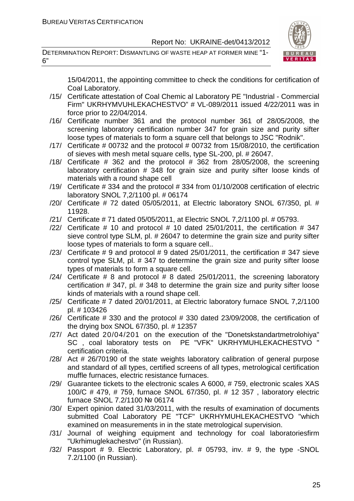DETERMINATION REPORT: DISMANTLING OF WASTE HEAP AT FORMER MINE "1- 6"



15/04/2011, the appointing committee to check the conditions for certification of Coal Laboratory.

- /15/ Certificate attestation of Coal Chemic al Laboratory PE "Industrial Commercial Firm" UKRHYMVUHLEKACHESTVO" # VL-089/2011 issued 4/22/2011 was in force prior to 22/04/2014.
- /16/ Certificate number 361 and the protocol number 361 of 28/05/2008, the screening laboratory certification number 347 for grain size and purity sifter loose types of materials to form a square cell that belongs to JSC "Rodnik".
- /17/ Certificate # 00732 and the protocol # 00732 from 15/08/2010, the certification of sieves with mesh metal square cells, type SL-200, pl. # 26047.
- /18/ Certificate  $\#$  362 and the protocol  $\#$  362 from 28/05/2008, the screening laboratory certification # 348 for grain size and purity sifter loose kinds of materials with a round shape cell
- /19/ Certificate # 334 and the protocol # 334 from 01/10/2008 certification of electric laboratory SNOL 7,2/1100 pl. # 06174
- /20/ Certificate # 72 dated 05/05/2011, at Electric laboratory SNOL 67/350, pl. # 11928.
- /21/ Certificate # 71 dated 05/05/2011, at Electric SNOL 7,2/1100 pl. # 05793.
- /22/ Certificate  $\#$  10 and protocol  $\#$  10 dated 25/01/2011, the certification  $\#$  347 sieve control type SLM, pl. # 26047 to determine the grain size and purity sifter loose types of materials to form a square cell..
- $/23/$  Certificate # 9 and protocol # 9 dated 25/01/2011, the certification # 347 sieve control type SLM, pl. # 347 to determine the grain size and purity sifter loose types of materials to form a square cell.
- $/24/$  Certificate # 8 and protocol # 8 dated 25/01/2011, the screening laboratory certification # 347, pl. # 348 to determine the grain size and purity sifter loose kinds of materials with a round shape cell.
- /25/ Certificate # 7 dated 20/01/2011, at Electric laboratory furnace SNOL 7,2/1100 pl. # 103426
- /26/ Certificate # 330 and the protocol # 330 dated 23/09/2008, the certification of the drying box SNOL 67/350, pl. # 12357
- /27/ Act dated 20/04/201 on the execution of the "Donetskstandartmetrolohiya" SC , coal laboratory tests on PE "VFK" UKRHYMUHLEKACHESTVO " certification criteria.
- /28/ Act # 26/70190 of the state weights laboratory calibration of general purpose and standard of all types, certified screens of all types, metrological certification muffle furnaces, electric resistance furnaces.
- /29/ Guarantee tickets to the electronic scales A 6000, # 759, electronic scales XAS 100/C # 479, # 759, furnace SNOL 67/350, pl. # 12 357 , laboratory electric furnace SNOL 7.2/1100 № 06174
- /30/ Expert opinion dated 31/03/2011, with the results of examination of documents submitted Coal Laboratory PE "TCF" UKRHYMUHLEKACHESTVO "which examined on measurements in in the state metrological supervision.
- /31/ Journal of weighing equipment and technology for coal laboratoriesfirm "Ukrhimuglekachestvo" (in Russian).
- /32/ Passport # 9. Electric Laboratory, pl. # 05793, inv. # 9, the type -SNOL 7.2/1100 (in Russian).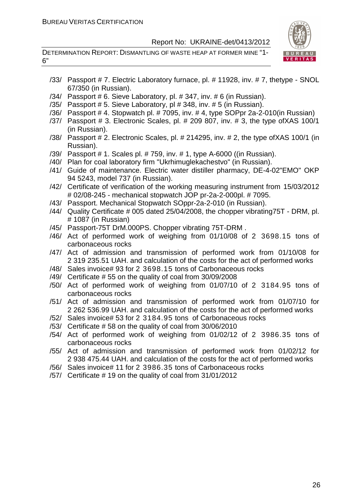DETERMINATION REPORT: DISMANTLING OF WASTE HEAP AT FORMER MINE "1- 6"



| /33/ | Passport #7. Electric Laboratory furnace, pl. #11928, inv. #7, thetype - SNOL<br>67/350 (in Russian). |
|------|-------------------------------------------------------------------------------------------------------|
| /34/ | Passport # 6. Sieve Laboratory, pl. # 347, inv. # 6 (in Russian).                                     |
| /35/ | Passport # 5. Sieve Laboratory, pl # 348, inv. # 5 (in Russian).                                      |
| /36/ | Passport #4. Stopwatch pl. #7095, inv. #4, type SOPpr 2a-2-010(in Russian)                            |
| /37/ | Passport # 3. Electronic Scales, pl. # 209 807, inv. # 3, the type of XAS 100/1                       |
|      | (in Russian).                                                                                         |
| /38/ | Passport # 2. Electronic Scales, pl. # 214295, inv. # 2, the type of XAS 100/1 (in                    |
|      | Russian).                                                                                             |
| /39/ | Passport # 1. Scales pl. # 759, inv. # 1, type A-6000 ((in Russian).                                  |
| /40/ | Plan for coal laboratory firm "Ukrhimuglekachestvo" (in Russian).                                     |
| /41/ | Guide of maintenance. Electric water distiller pharmacy, DE-4-02"EMO" OKP                             |
|      | 94 5243, model 737 (in Russian).                                                                      |
| /42/ | Certificate of verification of the working measuring instrument from 15/03/2012                       |
|      | # 02/08-245 - mechanical stopwatch JOP pr-2a-2-000pl. # 7095.                                         |
| /43/ | Passport. Mechanical Stopwatch SOppr-2a-2-010 (in Russian).                                           |
| /44/ | Quality Certificate # 005 dated 25/04/2008, the chopper vibrating 75T - DRM, pl.                      |
|      | # 1087 (in Russian)                                                                                   |
| /45/ | Passport-75T DrM.000PS. Chopper vibrating 75T-DRM.                                                    |
| /46/ | Act of performed work of weighing from 01/10/08 of 2 3698.15 tons of                                  |
|      | carbonaceous rocks                                                                                    |
| /47/ | Act of admission and transmission of performed work from 01/10/08 for                                 |
|      | 2 319 235.51 UAH. and calculation of the costs for the act of performed works                         |
| /48/ | Sales invoice# 93 for 2 3698.15 tons of Carbonaceous rocks                                            |
| /49/ | Certificate #55 on the quality of coal from 30/09/2008                                                |
| /50/ | Act of performed work of weighing from 01/07/10 of 2 3184.95 tons of                                  |
|      | carbonaceous rocks                                                                                    |
| /51/ | Act of admission and transmission of performed work from 01/07/10 for                                 |
|      | 2 262 536.99 UAH. and calculation of the costs for the act of performed works                         |
| /52/ | Sales invoice# 53 for 2 3184.95 tons of Carbonaceous rocks                                            |
| /53/ | Certificate #58 on the quality of coal from 30/06/2010                                                |
|      | /54/ Act of performed work of weighing from 01/02/12 of 2 3986.35 tons of                             |
|      | carbonaceous rocks                                                                                    |
| /55/ | Act of admission and transmission of performed work from 01/02/12 for                                 |
|      | 2 938 475.44 UAH. and calculation of the costs for the act of performed works                         |
| /56/ | Sales invoice# 11 for 2 3986.35 tons of Carbonaceous rocks                                            |
| /57/ | Certificate #19 on the quality of coal from 31/01/2012                                                |
|      |                                                                                                       |
|      |                                                                                                       |
|      |                                                                                                       |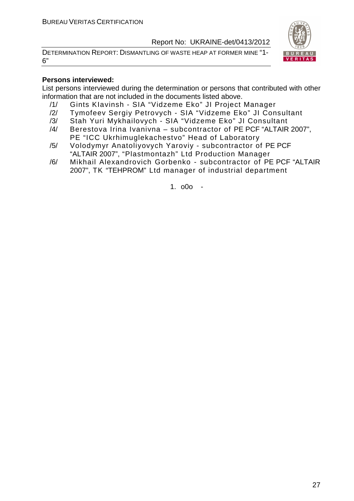DETERMINATION REPORT: DISMANTLING OF WASTE HEAP AT FORMER MINE "1- 6"



#### **Persons interviewed:**

List persons interviewed during the determination or persons that contributed with other information that are not included in the documents listed above.

- /1/ Gints KIavinsh SIA "Vidzeme Eko" JI Project Manager
- /2/ Tymofeev Sergiy Petrovych SIA "Vidzeme Eko" JI Consultant
- /3/ Stah Yuri Mykhailovych SIA "Vidzeme Eko" JI Consultant
- /4/ Berestova Irina Ivanivna subcontractor of PE PCF "ALTAIR 2007", PE "ICC Ukrhimuglekachestvo" Head of Laboratory
- /5/ Volodymyr Anatoliyovych Yaroviy subcontractor of PE PCF "ALTAIR 2007", "Plastmontazh" Ltd Production Manager
- /6/ Mikhail Alexandrovich Gorbenko subcontractor of PE PCF "ALTAIR 2007", TK "TEHPROM" Ltd manager of industrial department

1. o0o -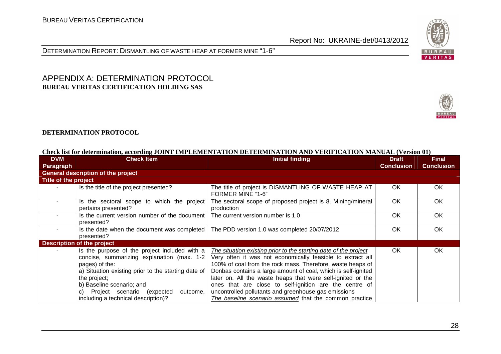

DETERMINATION REPORT: DISMANTLING OF WASTE HEAP AT FORMER MINE "1-6"

#### APPENDIX A: DETERMINATION PROTOCOL **BUREAU VERITAS CERTIFICATION HOLDING SAS**



#### **DETERMINATION PROTOCOL**

#### **Check list for determination, according JOINT IMPLEMENTATION DETERMINATION AND VERIFICATION MANUAL (Version 01)**

| <b>DVM</b>           | <b>Check Item</b>                                                                                                                                                                                                                                                                                         | <b>Initial finding</b>                                                                                                                                                                                                                                                                                                                                                                                                                                                                                   | <b>Draft</b>      | <b>Final</b>      |
|----------------------|-----------------------------------------------------------------------------------------------------------------------------------------------------------------------------------------------------------------------------------------------------------------------------------------------------------|----------------------------------------------------------------------------------------------------------------------------------------------------------------------------------------------------------------------------------------------------------------------------------------------------------------------------------------------------------------------------------------------------------------------------------------------------------------------------------------------------------|-------------------|-------------------|
| <b>Paragraph</b>     |                                                                                                                                                                                                                                                                                                           |                                                                                                                                                                                                                                                                                                                                                                                                                                                                                                          | <b>Conclusion</b> | <b>Conclusion</b> |
|                      | <b>General description of the project</b>                                                                                                                                                                                                                                                                 |                                                                                                                                                                                                                                                                                                                                                                                                                                                                                                          |                   |                   |
| Title of the project |                                                                                                                                                                                                                                                                                                           |                                                                                                                                                                                                                                                                                                                                                                                                                                                                                                          |                   |                   |
|                      | Is the title of the project presented?                                                                                                                                                                                                                                                                    | The title of project is DISMANTLING OF WASTE HEAP AT<br>FORMER MINE "1-6"                                                                                                                                                                                                                                                                                                                                                                                                                                | OK.               | <b>OK</b>         |
|                      | Is the sectoral scope to which the project<br>pertains presented?                                                                                                                                                                                                                                         | The sectoral scope of proposed project is 8. Mining/mineral<br>production                                                                                                                                                                                                                                                                                                                                                                                                                                | <b>OK</b>         | <b>OK</b>         |
|                      | Is the current version number of the document<br>presented?                                                                                                                                                                                                                                               | The current version number is 1.0                                                                                                                                                                                                                                                                                                                                                                                                                                                                        | <b>OK</b>         | <b>OK</b>         |
|                      | Is the date when the document was completed<br>presented?                                                                                                                                                                                                                                                 | The PDD version 1.0 was completed 20/07/2012                                                                                                                                                                                                                                                                                                                                                                                                                                                             | <b>OK</b>         | <b>OK</b>         |
|                      | <b>Description of the project</b>                                                                                                                                                                                                                                                                         |                                                                                                                                                                                                                                                                                                                                                                                                                                                                                                          |                   |                   |
|                      | Is the purpose of the project included with a<br>concise, summarizing explanation (max. 1-2)<br>pages) of the:<br>a) Situation existing prior to the starting date of<br>the project;<br>b) Baseline scenario; and<br>Project scenario (expected<br>outcome,<br>C)<br>including a technical description)? | The situation existing prior to the starting date of the project<br>Very often it was not economically feasible to extract all<br>100% of coal from the rock mass. Therefore, waste heaps of<br>Donbas contains a large amount of coal, which is self-ignited<br>later on. All the waste heaps that were self-ignited or the<br>ones that are close to self-ignition are the centre of<br>uncontrolled pollutants and greenhouse gas emissions<br>The baseline scenario assumed that the common practice | <b>OK</b>         | <b>OK</b>         |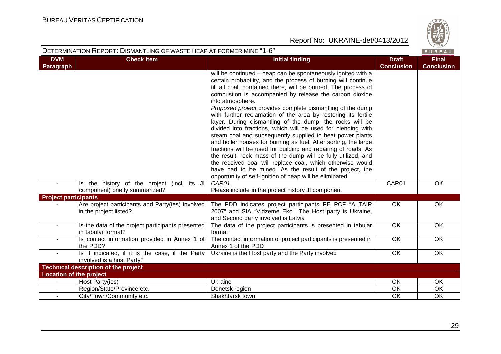

| DETERMINATION REPORT: DISMANTLING OF WASTE HEAP AT FORMER MINE "1-6"<br>BUREAU |                                                                               |                                                                                                                                                                                                                                                                                                                                                                                                                                                                                                                                                                                                                                                                                                                                                                                                                                                                                                                                                                                                  |                                   |                                   |  |
|--------------------------------------------------------------------------------|-------------------------------------------------------------------------------|--------------------------------------------------------------------------------------------------------------------------------------------------------------------------------------------------------------------------------------------------------------------------------------------------------------------------------------------------------------------------------------------------------------------------------------------------------------------------------------------------------------------------------------------------------------------------------------------------------------------------------------------------------------------------------------------------------------------------------------------------------------------------------------------------------------------------------------------------------------------------------------------------------------------------------------------------------------------------------------------------|-----------------------------------|-----------------------------------|--|
| <b>DVM</b><br>Paragraph                                                        | <b>Check Item</b>                                                             | <b>Initial finding</b>                                                                                                                                                                                                                                                                                                                                                                                                                                                                                                                                                                                                                                                                                                                                                                                                                                                                                                                                                                           | <b>Draft</b><br><b>Conclusion</b> | <b>Final</b><br><b>Conclusion</b> |  |
|                                                                                |                                                                               | will be continued - heap can be spontaneously ignited with a<br>certain probability, and the process of burning will continue<br>till all coal, contained there, will be burned. The process of<br>combustion is accompanied by release the carbon dioxide<br>into atmosphere.<br>Proposed project provides complete dismantling of the dump<br>with further reclamation of the area by restoring its fertile<br>layer. During dismantling of the dump, the rocks will be<br>divided into fractions, which will be used for blending with<br>steam coal and subsequently supplied to heat power plants<br>and boiler houses for burning as fuel. After sorting, the large<br>fractions will be used for building and repairing of roads. As<br>the result, rock mass of the dump will be fully utilized, and<br>the received coal will replace coal, which otherwise would<br>have had to be mined. As the result of the project, the<br>opportunity of self-ignition of heap will be eliminated |                                   |                                   |  |
| $\blacksquare$                                                                 | Is the history of the project (incl. its JI<br>component) briefly summarized? | CAR01<br>Please include in the project history JI component                                                                                                                                                                                                                                                                                                                                                                                                                                                                                                                                                                                                                                                                                                                                                                                                                                                                                                                                      | CAR01                             | OK                                |  |
| <b>Project participants</b>                                                    |                                                                               |                                                                                                                                                                                                                                                                                                                                                                                                                                                                                                                                                                                                                                                                                                                                                                                                                                                                                                                                                                                                  |                                   |                                   |  |
|                                                                                | Are project participants and Party(ies) involved<br>in the project listed?    | The PDD indicates project participants PE PCF "ALTAIR<br>2007" and SIA "Vidzeme Eko". The Host party is Ukraine,<br>and Second party involved is Latvia                                                                                                                                                                                                                                                                                                                                                                                                                                                                                                                                                                                                                                                                                                                                                                                                                                          | $\overline{OK}$                   | OK                                |  |
|                                                                                | Is the data of the project participants presented<br>in tabular format?       | The data of the project participants is presented in tabular<br>format                                                                                                                                                                                                                                                                                                                                                                                                                                                                                                                                                                                                                                                                                                                                                                                                                                                                                                                           | OK                                | <b>OK</b>                         |  |
|                                                                                | Is contact information provided in Annex 1 of<br>the PDD?                     | The contact information of project participants is presented in<br>Annex 1 of the PDD                                                                                                                                                                                                                                                                                                                                                                                                                                                                                                                                                                                                                                                                                                                                                                                                                                                                                                            | $\overline{OK}$                   | $\overline{OK}$                   |  |
|                                                                                | Is it indicated, if it is the case, if the Party<br>involved is a host Party? | Ukraine is the Host party and the Party involved                                                                                                                                                                                                                                                                                                                                                                                                                                                                                                                                                                                                                                                                                                                                                                                                                                                                                                                                                 | <b>OK</b>                         | OK                                |  |
|                                                                                | <b>Technical description of the project</b>                                   |                                                                                                                                                                                                                                                                                                                                                                                                                                                                                                                                                                                                                                                                                                                                                                                                                                                                                                                                                                                                  |                                   |                                   |  |
| Location of the project                                                        |                                                                               |                                                                                                                                                                                                                                                                                                                                                                                                                                                                                                                                                                                                                                                                                                                                                                                                                                                                                                                                                                                                  |                                   |                                   |  |
|                                                                                | Host Party(ies)                                                               | Ukraine                                                                                                                                                                                                                                                                                                                                                                                                                                                                                                                                                                                                                                                                                                                                                                                                                                                                                                                                                                                          | OK                                | <b>OK</b>                         |  |
|                                                                                | Region/State/Province etc.                                                    | Donetsk region                                                                                                                                                                                                                                                                                                                                                                                                                                                                                                                                                                                                                                                                                                                                                                                                                                                                                                                                                                                   | OK                                | OK                                |  |
|                                                                                | City/Town/Community etc.                                                      | Shakhtarsk town                                                                                                                                                                                                                                                                                                                                                                                                                                                                                                                                                                                                                                                                                                                                                                                                                                                                                                                                                                                  | OK                                | OK                                |  |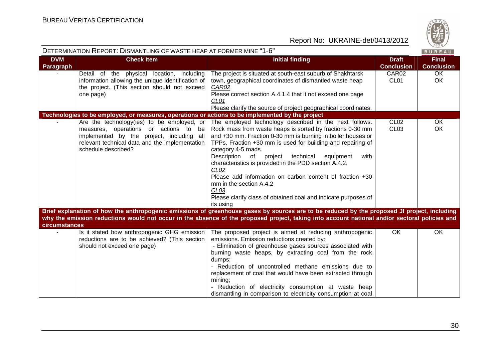

|                         | DETERMINATION REPORT: DISMANTLING OF WASTE HEAP AT FORMER MINE "1-6"                                                                                                                                       |                                                                                                                                                                                                                                                                                                                                                                                                                                                                                                                                                                                                                   |                                      | BUREAU                            |
|-------------------------|------------------------------------------------------------------------------------------------------------------------------------------------------------------------------------------------------------|-------------------------------------------------------------------------------------------------------------------------------------------------------------------------------------------------------------------------------------------------------------------------------------------------------------------------------------------------------------------------------------------------------------------------------------------------------------------------------------------------------------------------------------------------------------------------------------------------------------------|--------------------------------------|-----------------------------------|
| <b>DVM</b><br>Paragraph | <b>Check Item</b>                                                                                                                                                                                          | <b>Initial finding</b>                                                                                                                                                                                                                                                                                                                                                                                                                                                                                                                                                                                            | <b>Draft</b><br><b>Conclusion</b>    | <b>Final</b><br><b>Conclusion</b> |
|                         | Detail of the physical location, including<br>information allowing the unique identification of<br>the project. (This section should not exceed<br>one page)                                               | The project is situated at south-east suburb of Shakhtarsk<br>town, geographical coordinates of dismantled waste heap<br>CAR02<br>Please correct section A.4.1.4 that it not exceed one page<br>CL <sub>01</sub><br>Please clarify the source of project geographical coordinates.                                                                                                                                                                                                                                                                                                                                | CAR02<br>CL <sub>01</sub>            | <b>OK</b><br><b>OK</b>            |
|                         | Technologies to be employed, or measures, operations or actions to be implemented by the project                                                                                                           |                                                                                                                                                                                                                                                                                                                                                                                                                                                                                                                                                                                                                   |                                      |                                   |
|                         | Are the technology (ies) to be employed, or<br>measures, operations or actions to be<br>implemented by the project, including all<br>relevant technical data and the implementation<br>schedule described? | The employed technology described in the next follows.<br>Rock mass from waste heaps is sorted by fractions 0-30 mm<br>and +30 mm. Fraction 0-30 mm is burning in boiler houses or<br>TPPs. Fraction +30 mm is used for building and repairing of<br>category 4-5 roads.<br>Description<br>technical<br>of<br>project<br>equipment<br>with<br>characteristics is provided in the PDD section A.4.2.<br>CL <sub>02</sub><br>Please add information on carbon content of fraction +30<br>mm in the section A.4.2<br>CL <sub>03</sub><br>Please clarify class of obtained coal and indicate purposes of<br>its using | CL <sub>02</sub><br>CL <sub>03</sub> | <b>OK</b><br><b>OK</b>            |
| circumstances           |                                                                                                                                                                                                            | Brief explanation of how the anthropogenic emissions of greenhouse gases by sources are to be reduced by the proposed JI project, including<br>why the emission reductions would not occur in the absence of the proposed project, taking into account national and/or sectoral policies and                                                                                                                                                                                                                                                                                                                      |                                      |                                   |
|                         | Is it stated how anthropogenic GHG emission<br>reductions are to be achieved? (This section<br>should not exceed one page)                                                                                 | The proposed project is aimed at reducing anthropogenic<br>emissions. Emission reductions created by:<br>- Elimination of greenhouse gases sources associated with<br>burning waste heaps, by extracting coal from the rock<br>dumps;<br>- Reduction of uncontrolled methane emissions due to<br>replacement of coal that would have been extracted through<br>mining;<br>Reduction of electricity consumption at waste heap<br>dismantling in comparison to electricity consumption at coal                                                                                                                      | OK.                                  | <b>OK</b>                         |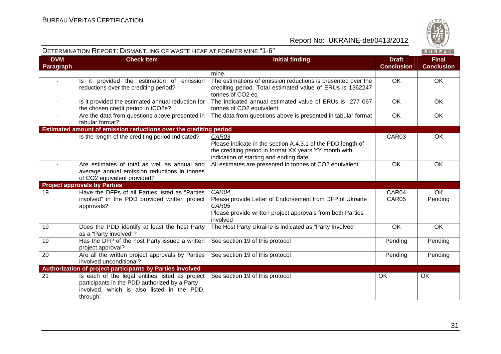

|                         | DETERMINATION REPORT: DISMANTLING OF WASTE HEAP AT FORMER MINE "1-6"                                                                                       |                                                                                                                                                                         |                                   | $\vee$ 828/<br>BUREAU             |
|-------------------------|------------------------------------------------------------------------------------------------------------------------------------------------------------|-------------------------------------------------------------------------------------------------------------------------------------------------------------------------|-----------------------------------|-----------------------------------|
| <b>DVM</b><br>Paragraph | <b>Check Item</b>                                                                                                                                          | <b>Initial finding</b>                                                                                                                                                  | <b>Draft</b><br><b>Conclusion</b> | <b>Final</b><br><b>Conclusion</b> |
|                         |                                                                                                                                                            | mine.                                                                                                                                                                   |                                   |                                   |
| $\sim$                  | Is it provided the estimation of emission<br>reductions over the crediting period?                                                                         | The estimations of emission reductions is presented over the<br>crediting period. Total estimated value of ERUs is 1362247<br>tonnes of CO2 eq                          | <b>OK</b>                         | <b>OK</b>                         |
| $\sim$                  | Is it provided the estimated annual reduction for<br>the chosen credit period in tCO2e?                                                                    | The indicated annual estimated value of ERUs is 277 067<br>tonnes of CO2 equivalent                                                                                     | $\overline{OK}$                   | OK                                |
| $\sim$                  | Are the data from questions above presented in<br>tabular format?                                                                                          | The data from questions above is presented in tabular format                                                                                                            | $\overline{OK}$                   | $\overline{OK}$                   |
|                         | Estimated amount of emission reductions over the crediting period                                                                                          |                                                                                                                                                                         |                                   |                                   |
|                         | Is the length of the crediting period Indicated?                                                                                                           | CAR03<br>Please indicate in the section A.4.3.1 of the PDD length of<br>the crediting period in format XX years YY month with<br>indication of starting and ending date | CAR03                             | OK                                |
|                         | Are estimates of total as well as annual and<br>average annual emission reductions in tonnes<br>of CO2 equivalent provided?                                | All estimates are presented in tonnes of CO2 equivalent                                                                                                                 | $\overline{OK}$                   | $\overline{OK}$                   |
|                         | <b>Project approvals by Parties</b>                                                                                                                        |                                                                                                                                                                         |                                   |                                   |
| 19                      | Have the DFPs of all Parties listed as "Parties<br>involved" in the PDD provided written project<br>approvals?                                             | CAR04<br>Please provide Letter of Endorsement from DFP of Ukraine<br>CAR05<br>Please provide written project approvals from both Parties<br>involved                    | CAR04<br>CAR05                    | OK<br>Pending                     |
| 19                      | Does the PDD identify at least the host Party<br>as a "Party involved"?                                                                                    | The Host Party Ukraine is indicated as "Party Involved"                                                                                                                 | OK                                | OK                                |
| 19                      | Has the DFP of the host Party issued a written<br>project approval?                                                                                        | See section 19 of this protocol                                                                                                                                         | Pending                           | Pending                           |
| 20                      | Are all the written project approvals by Parties<br>involved unconditional?                                                                                | See section 19 of this protocol                                                                                                                                         | Pending                           | Pending                           |
|                         | Authorization of project participants by Parties involved                                                                                                  |                                                                                                                                                                         |                                   |                                   |
| 21                      | Is each of the legal entities listed as project<br>participants in the PDD authorized by a Party<br>involved, which is also listed in the PDD,<br>through: | See section 19 of this protocol                                                                                                                                         | OK                                | OK                                |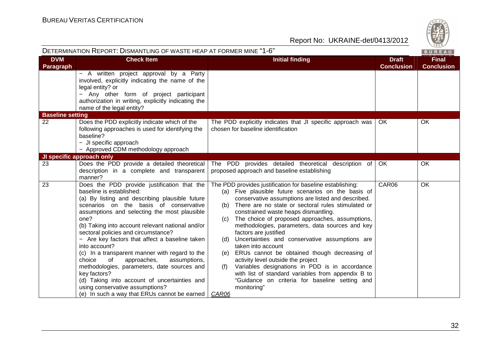| DETERMINATION REPORT: DISMANTLING OF WASTE HEAP AT FORMER MINE "1-6"<br>BUREAU |                                                                                                                                                                                                                                                                                                                                                                                                                                                                                                                                                                                                                                                                                              |                                                                                                                                                                                                                                                                                                                                                                                                                                                                                                                                                                                                                                                                                                                                                                                           |                                   |                                   |
|--------------------------------------------------------------------------------|----------------------------------------------------------------------------------------------------------------------------------------------------------------------------------------------------------------------------------------------------------------------------------------------------------------------------------------------------------------------------------------------------------------------------------------------------------------------------------------------------------------------------------------------------------------------------------------------------------------------------------------------------------------------------------------------|-------------------------------------------------------------------------------------------------------------------------------------------------------------------------------------------------------------------------------------------------------------------------------------------------------------------------------------------------------------------------------------------------------------------------------------------------------------------------------------------------------------------------------------------------------------------------------------------------------------------------------------------------------------------------------------------------------------------------------------------------------------------------------------------|-----------------------------------|-----------------------------------|
| <b>DVM</b><br>Paragraph                                                        | <b>Check Item</b>                                                                                                                                                                                                                                                                                                                                                                                                                                                                                                                                                                                                                                                                            | <b>Initial finding</b>                                                                                                                                                                                                                                                                                                                                                                                                                                                                                                                                                                                                                                                                                                                                                                    | <b>Draft</b><br><b>Conclusion</b> | <b>Final</b><br><b>Conclusion</b> |
|                                                                                | - A written project approval by a Party<br>involved, explicitly indicating the name of the<br>legal entity? or<br>- Any other form of project participant<br>authorization in writing, explicitly indicating the<br>name of the legal entity?                                                                                                                                                                                                                                                                                                                                                                                                                                                |                                                                                                                                                                                                                                                                                                                                                                                                                                                                                                                                                                                                                                                                                                                                                                                           |                                   |                                   |
| <b>Baseline setting</b>                                                        |                                                                                                                                                                                                                                                                                                                                                                                                                                                                                                                                                                                                                                                                                              |                                                                                                                                                                                                                                                                                                                                                                                                                                                                                                                                                                                                                                                                                                                                                                                           |                                   |                                   |
| 22                                                                             | Does the PDD explicitly indicate which of the<br>following approaches is used for identifying the<br>baseline?<br>- JI specific approach<br>- Approved CDM methodology approach                                                                                                                                                                                                                                                                                                                                                                                                                                                                                                              | The PDD explicitly indicates that JI specific approach was<br>chosen for baseline identification                                                                                                                                                                                                                                                                                                                                                                                                                                                                                                                                                                                                                                                                                          | OK                                | OK                                |
|                                                                                | JI specific approach only                                                                                                                                                                                                                                                                                                                                                                                                                                                                                                                                                                                                                                                                    |                                                                                                                                                                                                                                                                                                                                                                                                                                                                                                                                                                                                                                                                                                                                                                                           |                                   |                                   |
| 23                                                                             | Does the PDD provide a detailed theoretical<br>description in a complete and transparent<br>manner?                                                                                                                                                                                                                                                                                                                                                                                                                                                                                                                                                                                          | The PDD provides detailed theoretical description of<br>proposed approach and baseline establishing                                                                                                                                                                                                                                                                                                                                                                                                                                                                                                                                                                                                                                                                                       | OK                                | OK                                |
| $\overline{23}$                                                                | Does the PDD provide justification that the<br>baseline is established:<br>(a) By listing and describing plausible future<br>scenarios on the basis of conservative<br>assumptions and selecting the most plausible<br>one?<br>(b) Taking into account relevant national and/or<br>sectoral policies and circumstance?<br>- Are key factors that affect a baseline taken<br>into account?<br>(c) In a transparent manner with regard to the<br>of<br>approaches,<br>assumptions,<br>choice<br>methodologies, parameters, date sources and<br>key factors?<br>(d) Taking into account of uncertainties and<br>using conservative assumptions?<br>(e) In such a way that ERUs cannot be earned | The PDD provides justification for baseline establishing:<br>Five plausible future scenarios on the basis of<br>(a)<br>conservative assumptions are listed and described.<br>There are no state or sectoral rules stimulated or<br>(b)<br>constrained waste heaps dismantling.<br>The choice of proposed approaches, assumptions,<br>(C)<br>methodologies, parameters, data sources and key<br>factors are justified<br>Uncertainties and conservative assumptions are<br>(d)<br>taken into account<br>ERUs cannot be obtained though decreasing of<br>(e)<br>activity level outside the project<br>Variables designations in PDD is in accordance<br>(f)<br>with list of standard variables from appendix B to<br>"Guidance on criteria for baseline setting and<br>monitoring"<br>CAR06 | CAR06                             | OK                                |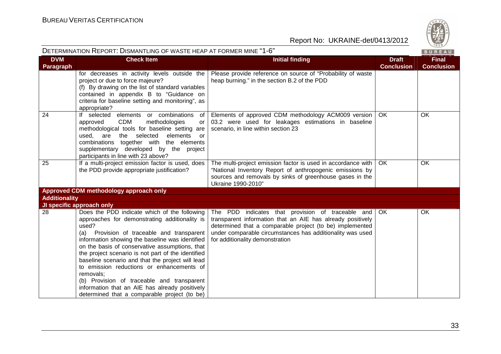| DETERMINATION REPORT: DISMANTLING OF WASTE HEAP AT FORMER MINE "1-6" |                                                                                                                                                                                                                                                                                                                                                                                                                                                                                                                                                                               |                                                                                                                                                                                                                                                                             | BUREAU                            |                                   |
|----------------------------------------------------------------------|-------------------------------------------------------------------------------------------------------------------------------------------------------------------------------------------------------------------------------------------------------------------------------------------------------------------------------------------------------------------------------------------------------------------------------------------------------------------------------------------------------------------------------------------------------------------------------|-----------------------------------------------------------------------------------------------------------------------------------------------------------------------------------------------------------------------------------------------------------------------------|-----------------------------------|-----------------------------------|
| <b>DVM</b><br><b>Paragraph</b>                                       | <b>Check Item</b>                                                                                                                                                                                                                                                                                                                                                                                                                                                                                                                                                             | <b>Initial finding</b>                                                                                                                                                                                                                                                      | <b>Draft</b><br><b>Conclusion</b> | <b>Final</b><br><b>Conclusion</b> |
|                                                                      | for decreases in activity levels outside the<br>project or due to force majeure?<br>(f) By drawing on the list of standard variables<br>contained in appendix B to "Guidance on<br>criteria for baseline setting and monitoring", as<br>appropriate?                                                                                                                                                                                                                                                                                                                          | Please provide reference on source of "Probability of waste<br>heap burning." in the section B.2 of the PDD                                                                                                                                                                 |                                   |                                   |
| 24                                                                   | If selected elements or combinations<br>of<br><b>CDM</b><br>approved<br>methodologies<br>or<br>methodological tools for baseline setting are<br>the selected<br>elements<br>are<br>used.<br>or<br>combinations together with the elements<br>supplementary developed by the project<br>participants in line with 23 above?                                                                                                                                                                                                                                                    | Elements of approved CDM methodology ACM009 version   OK<br>03.2 were used for leakages estimations in baseline<br>scenario, in line within section 23                                                                                                                      |                                   | OK                                |
| 25                                                                   | If a multi-project emission factor is used, does<br>the PDD provide appropriate justification?                                                                                                                                                                                                                                                                                                                                                                                                                                                                                | The multi-project emission factor is used in accordance with  <br>"National Inventory Report of anthropogenic emissions by<br>sources and removals by sinks of greenhouse gases in the<br>Ukraine 1990-2010"                                                                | OK.                               | OK.                               |
|                                                                      | Approved CDM methodology approach only                                                                                                                                                                                                                                                                                                                                                                                                                                                                                                                                        |                                                                                                                                                                                                                                                                             |                                   |                                   |
| <b>Additionality</b>                                                 |                                                                                                                                                                                                                                                                                                                                                                                                                                                                                                                                                                               |                                                                                                                                                                                                                                                                             |                                   |                                   |
|                                                                      | JI specific approach only                                                                                                                                                                                                                                                                                                                                                                                                                                                                                                                                                     |                                                                                                                                                                                                                                                                             |                                   |                                   |
| 28                                                                   | Does the PDD indicate which of the following<br>approaches for demonstrating additionality is<br>used?<br>(a) Provision of traceable and transparent<br>information showing the baseline was identified<br>on the basis of conservative assumptions, that<br>the project scenario is not part of the identified<br>baseline scenario and that the project will lead<br>to emission reductions or enhancements of<br>removals:<br>(b) Provision of traceable and transparent<br>information that an AIE has already positively<br>determined that a comparable project (to be) | The PDD indicates that provision of traceable and<br>transparent information that an AIE has already positively<br>determined that a comparable project (to be) implemented<br>under comparable circumstances has additionality was used<br>for additionality demonstration | OK                                | OK                                |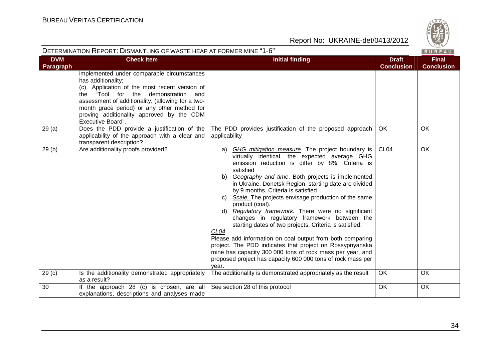

|                         | DETERMINATION REPORT: DISMANTLING OF WASTE HEAP AT FORMER MINE "1-6"<br>BUREAU                                                                                                                                                                                                                                                 |                                                                                                                                                                                                                                                                                                                                                                                                                                                                                                                                                                                                                                                                                                                                                                                                                                                            |                                   |                                   |
|-------------------------|--------------------------------------------------------------------------------------------------------------------------------------------------------------------------------------------------------------------------------------------------------------------------------------------------------------------------------|------------------------------------------------------------------------------------------------------------------------------------------------------------------------------------------------------------------------------------------------------------------------------------------------------------------------------------------------------------------------------------------------------------------------------------------------------------------------------------------------------------------------------------------------------------------------------------------------------------------------------------------------------------------------------------------------------------------------------------------------------------------------------------------------------------------------------------------------------------|-----------------------------------|-----------------------------------|
| <b>DVM</b><br>Paragraph | <b>Check Item</b>                                                                                                                                                                                                                                                                                                              | <b>Initial finding</b>                                                                                                                                                                                                                                                                                                                                                                                                                                                                                                                                                                                                                                                                                                                                                                                                                                     | <b>Draft</b><br><b>Conclusion</b> | <b>Final</b><br><b>Conclusion</b> |
|                         | implemented under comparable circumstances<br>has additionality;<br>(c) Application of the most recent version of<br>the "Tool for the demonstration and<br>assessment of additionality. (allowing for a two-<br>month grace period) or any other method for<br>proving additionality approved by the CDM<br>Executive Board". |                                                                                                                                                                                                                                                                                                                                                                                                                                                                                                                                                                                                                                                                                                                                                                                                                                                            |                                   |                                   |
| 29(a)                   | Does the PDD provide a justification of the<br>applicability of the approach with a clear and<br>transparent description?                                                                                                                                                                                                      | The PDD provides justification of the proposed approach<br>applicability                                                                                                                                                                                                                                                                                                                                                                                                                                                                                                                                                                                                                                                                                                                                                                                   | OK.                               | OK                                |
| 29(b)                   | Are additionality proofs provided?                                                                                                                                                                                                                                                                                             | GHG mitigation measure. The project boundary is<br>a)<br>virtually identical, the expected average GHG<br>emission reduction is differ by 8%. Criteria is<br>satisfied<br>b) Geography and time. Both projects is implemented<br>in Ukraine, Donetsk Region, starting date are divided<br>by 9 months. Criteria is satisfied<br>c) Scale. The projects envisage production of the same<br>product (coal).<br>d) Regulatory framework. There were no significant<br>changes in regulatory framework between the<br>starting dates of two projects. Criteria is satisfied.<br>CL <sub>04</sub><br>Please add information on coal output from both comparing<br>project. The PDD indicates that project on Rossypnyanska<br>mine has capacity 300 000 tons of rock mass per year, and<br>proposed project has capacity 600 000 tons of rock mass per<br>year. | CL <sub>04</sub>                  | OK                                |
| 29 <sub>(c)</sub>       | Is the additionality demonstrated appropriately<br>as a result?                                                                                                                                                                                                                                                                | The additionality is demonstrated appropriately as the result                                                                                                                                                                                                                                                                                                                                                                                                                                                                                                                                                                                                                                                                                                                                                                                              | OK                                | OK                                |
| 30                      | If the approach 28 (c) is chosen, are all<br>explanations, descriptions and analyses made                                                                                                                                                                                                                                      | See section 28 of this protocol                                                                                                                                                                                                                                                                                                                                                                                                                                                                                                                                                                                                                                                                                                                                                                                                                            | OK                                | OK                                |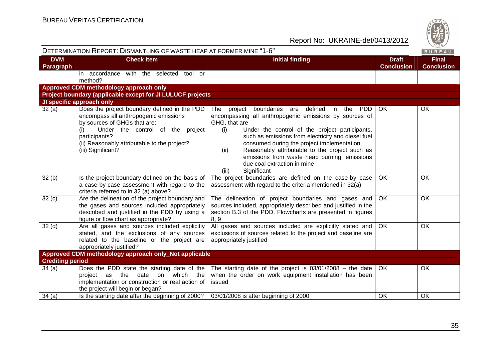| DETERMINATION REPORT: DISMANTLING OF WASTE HEAP AT FORMER MINE "1-6" |                                                                                                                                                                                                                                                         |                                                                                                                                                                                                                                                                                                                                                                                                                                                                      |                                   |                                   |  |  |
|----------------------------------------------------------------------|---------------------------------------------------------------------------------------------------------------------------------------------------------------------------------------------------------------------------------------------------------|----------------------------------------------------------------------------------------------------------------------------------------------------------------------------------------------------------------------------------------------------------------------------------------------------------------------------------------------------------------------------------------------------------------------------------------------------------------------|-----------------------------------|-----------------------------------|--|--|
| <b>DVM</b><br>Paragraph                                              | <b>Check Item</b>                                                                                                                                                                                                                                       | <b>Initial finding</b>                                                                                                                                                                                                                                                                                                                                                                                                                                               | <b>Draft</b><br><b>Conclusion</b> | <b>Final</b><br><b>Conclusion</b> |  |  |
|                                                                      | in accordance with the selected tool or<br>method?                                                                                                                                                                                                      |                                                                                                                                                                                                                                                                                                                                                                                                                                                                      |                                   |                                   |  |  |
|                                                                      | Approved CDM methodology approach only                                                                                                                                                                                                                  |                                                                                                                                                                                                                                                                                                                                                                                                                                                                      |                                   |                                   |  |  |
|                                                                      | Project boundary (applicable except for JI LULUCF projects                                                                                                                                                                                              |                                                                                                                                                                                                                                                                                                                                                                                                                                                                      |                                   |                                   |  |  |
|                                                                      | <b>JI specific approach only</b>                                                                                                                                                                                                                        |                                                                                                                                                                                                                                                                                                                                                                                                                                                                      |                                   |                                   |  |  |
| 32(a)                                                                | Does the project boundary defined in the PDD<br>encompass all anthropogenic emissions<br>by sources of GHGs that are:<br>Under the control of the project<br>(i)<br>participants?<br>(ii) Reasonably attributable to the project?<br>(iii) Significant? | The project boundaries are<br>defined in the<br><b>PDD</b><br>encompassing all anthropogenic emissions by sources of<br>GHG, that are<br>Under the control of the project participants,<br>(i)<br>such as emissions from electricity and diesel fuel<br>consumed during the project implementation,<br>Reasonably attributable to the project such as<br>(ii)<br>emissions from waste heap burning, emissions<br>due coal extraction in mine<br>Significant<br>(iii) | <b>OK</b>                         | OK                                |  |  |
| 32(b)                                                                | Is the project boundary defined on the basis of<br>a case-by-case assessment with regard to the<br>criteria referred to in 32 (a) above?                                                                                                                | The project boundaries are defined on the case-by case<br>assessment with regard to the criteria mentioned in 32(a)                                                                                                                                                                                                                                                                                                                                                  | <b>OK</b>                         | OK                                |  |  |
| 32(c)                                                                | Are the delineation of the project boundary and<br>the gases and sources included appropriately<br>described and justified in the PDD by using a<br>figure or flow chart as appropriate?                                                                | The delineation of project boundaries and gases and<br>sources included, appropriately described and justified in the<br>section B.3 of the PDD. Flowcharts are presented in figures<br>8, 9                                                                                                                                                                                                                                                                         | <b>OK</b>                         | OK                                |  |  |
| 32 <sub>(d)</sub>                                                    | Are all gases and sources included explicitly<br>stated, and the exclusions of any sources<br>related to the baseline or the project are<br>appropriately justified?                                                                                    | All gases and sources included are explicitly stated and<br>exclusions of sources related to the project and baseline are<br>appropriately justified                                                                                                                                                                                                                                                                                                                 | OK.                               | <b>OK</b>                         |  |  |
| Approved CDM methodology approach only_Not applicable                |                                                                                                                                                                                                                                                         |                                                                                                                                                                                                                                                                                                                                                                                                                                                                      |                                   |                                   |  |  |
| <b>Crediting period</b>                                              |                                                                                                                                                                                                                                                         |                                                                                                                                                                                                                                                                                                                                                                                                                                                                      |                                   |                                   |  |  |
| 34(a)                                                                | Does the PDD state the starting date of the $ $<br>the<br>date on<br>which<br>project as<br>the<br>implementation or construction or real action of<br>the project will begin or began?                                                                 | The starting date of the project is $03/01/2008$ – the date<br>when the order on work equipment installation has been<br>issued                                                                                                                                                                                                                                                                                                                                      | OK.                               | OK                                |  |  |
| 34(a)                                                                | Is the starting date after the beginning of 2000?                                                                                                                                                                                                       | 03/01/2008 is after beginning of 2000                                                                                                                                                                                                                                                                                                                                                                                                                                | <b>OK</b>                         | OK                                |  |  |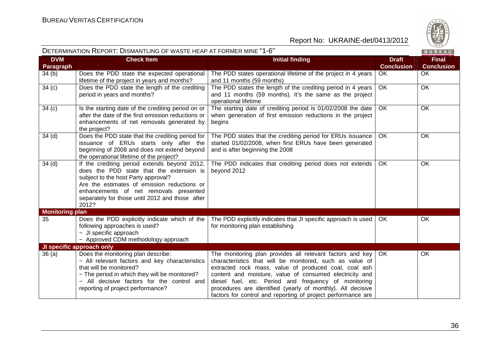

| DETERMINATION REPORT: DISMANTLING OF WASTE HEAP AT FORMER MINE "1-6" |                                                                                                                                                                                                                                                                                      |                                                                                                                                                                                                                                                                                                                                                                                                                                  |                                   | BUREAU                            |
|----------------------------------------------------------------------|--------------------------------------------------------------------------------------------------------------------------------------------------------------------------------------------------------------------------------------------------------------------------------------|----------------------------------------------------------------------------------------------------------------------------------------------------------------------------------------------------------------------------------------------------------------------------------------------------------------------------------------------------------------------------------------------------------------------------------|-----------------------------------|-----------------------------------|
| <b>DVM</b><br>Paragraph                                              | <b>Check Item</b>                                                                                                                                                                                                                                                                    | <b>Initial finding</b>                                                                                                                                                                                                                                                                                                                                                                                                           | <b>Draft</b><br><b>Conclusion</b> | <b>Final</b><br><b>Conclusion</b> |
| 34(b)                                                                | Does the PDD state the expected operational<br>lifetime of the project in years and months?                                                                                                                                                                                          | The PDD states operational lifetime of the project in 4 years<br>and 11 months (59 months)                                                                                                                                                                                                                                                                                                                                       | OK                                | OK                                |
| 34(c)                                                                | Does the PDD state the length of the crediting<br>period in years and months?                                                                                                                                                                                                        | The PDD states the length of the crediting period in 4 years<br>and 11 months (59 months). It's the same as the project<br>operational lifetime                                                                                                                                                                                                                                                                                  | OK                                | OK                                |
| 34(c)                                                                | Is the starting date of the crediting period on or<br>after the date of the first emission reductions or<br>enhancements of net removals generated by<br>the project?                                                                                                                | The starting date of crediting period is 01/02/2008 the date<br>when generation of first emission reductions in the project<br>begins                                                                                                                                                                                                                                                                                            | OK.                               | OK                                |
| 34(d)                                                                | Does the PDD state that the crediting period for<br>issuance of ERUs starts only after the<br>beginning of 2008 and does not extend beyond<br>the operational lifetime of the project?                                                                                               | The PDD states that the crediting period for ERUs issuance<br>started 01/02/2008, when first ERUs have been generated<br>and is after beginning the 2008                                                                                                                                                                                                                                                                         | OK                                | OK                                |
| 34(d)                                                                | If the crediting period extends beyond 2012,<br>does the PDD state that the extension is<br>subject to the host Party approval?<br>Are the estimates of emission reductions or<br>enhancements of net removals presented<br>separately for those until 2012 and those after<br>2012? | The PDD indicates that crediting period does not extends<br>beyond 2012                                                                                                                                                                                                                                                                                                                                                          | OK                                | OK                                |
| <b>Monitoring plan</b>                                               |                                                                                                                                                                                                                                                                                      |                                                                                                                                                                                                                                                                                                                                                                                                                                  |                                   |                                   |
| 35                                                                   | Does the PDD explicitly indicate which of the<br>following approaches is used?<br>- JI specific approach<br>- Approved CDM methodology approach                                                                                                                                      | The PDD explicitly indicates that JI specific approach is used<br>for monitoring plan establishing                                                                                                                                                                                                                                                                                                                               | OK.                               | <b>OK</b>                         |
|                                                                      | JI specific approach only                                                                                                                                                                                                                                                            |                                                                                                                                                                                                                                                                                                                                                                                                                                  |                                   |                                   |
| 36(a)                                                                | Does the monitoring plan describe:<br>- All relevant factors and key characteristics<br>that will be monitored?<br>- The period in which they will be monitored?<br>- All decisive factors for the control and<br>reporting of project performance?                                  | The monitoring plan provides all relevant factors and key<br>characteristics that will be monitored, such as value of<br>extracted rock mass, value of produced coal, coal ash<br>content and moisture, value of consumed electricity and<br>diesel fuel, etc. Period and frequency of monitoring<br>procedures are identified (yearly of monthly). All decisive<br>factors for control and reporting of project performance are | OK                                | OK                                |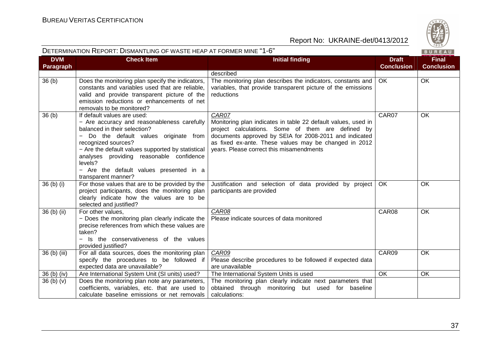

| DETERMINATION REPORT: DISMANTLING OF WASTE HEAP AT FORMER MINE "1-6" |                                                                                                                                                                                                                                                                                                                                                         |                                                                                                                                                                                                                                                                                            |                                   | BUREAU                            |
|----------------------------------------------------------------------|---------------------------------------------------------------------------------------------------------------------------------------------------------------------------------------------------------------------------------------------------------------------------------------------------------------------------------------------------------|--------------------------------------------------------------------------------------------------------------------------------------------------------------------------------------------------------------------------------------------------------------------------------------------|-----------------------------------|-----------------------------------|
| <b>DVM</b><br>Paragraph                                              | <b>Check Item</b>                                                                                                                                                                                                                                                                                                                                       | <b>Initial finding</b>                                                                                                                                                                                                                                                                     | <b>Draft</b><br><b>Conclusion</b> | <b>Final</b><br><b>Conclusion</b> |
|                                                                      |                                                                                                                                                                                                                                                                                                                                                         | described                                                                                                                                                                                                                                                                                  |                                   |                                   |
| 36(b)                                                                | Does the monitoring plan specify the indicators,<br>constants and variables used that are reliable.<br>valid and provide transparent picture of the<br>emission reductions or enhancements of net<br>removals to be monitored?                                                                                                                          | The monitoring plan describes the indicators, constants and<br>variables, that provide transparent picture of the emissions<br>reductions                                                                                                                                                  | OK.                               | OK                                |
| 36(b)                                                                | If default values are used:<br>- Are accuracy and reasonableness carefully<br>balanced in their selection?<br>Do the default values originate from<br>recognized sources?<br>- Are the default values supported by statistical<br>analyses providing reasonable confidence<br>levels?<br>- Are the default values presented in a<br>transparent manner? | CAR07<br>Monitoring plan indicates in table 22 default values, used in<br>project calculations. Some of them are defined by<br>documents approved by SEIA for 2008-2011 and indicated<br>as fixed ex-ante. These values may be changed in 2012<br>years. Please correct this misamendments | CAR07                             | OK                                |
| 36 (b) (i)                                                           | For those values that are to be provided by the<br>project participants, does the monitoring plan<br>clearly indicate how the values are to be<br>selected and justified?                                                                                                                                                                               | Justification and selection of data provided by project<br>participants are provided                                                                                                                                                                                                       | <b>OK</b>                         | <b>OK</b>                         |
| 36 (b) (ii)                                                          | For other values,<br>- Does the monitoring plan clearly indicate the<br>precise references from which these values are<br>taken?<br>- Is the conservativeness of the values<br>provided justified?                                                                                                                                                      | CAR08<br>Please indicate sources of data monitored                                                                                                                                                                                                                                         | CAR08                             | $\overline{OK}$                   |
| 36 (b) (iii)                                                         | For all data sources, does the monitoring plan<br>specify the procedures to be followed if<br>expected data are unavailable?                                                                                                                                                                                                                            | CAR09<br>Please describe procedures to be followed if expected data<br>are unavailable                                                                                                                                                                                                     | CAR09                             | OK                                |
| 36 (b) (iv)                                                          | Are International System Unit (SI units) used?                                                                                                                                                                                                                                                                                                          | The International System Units is used                                                                                                                                                                                                                                                     | <b>OK</b>                         | OK                                |
| 36 <sub>(b)</sub> <sub>(v)</sub>                                     | Does the monitoring plan note any parameters,<br>coefficients, variables, etc. that are used to<br>calculate baseline emissions or net removals                                                                                                                                                                                                         | The monitoring plan clearly indicate next parameters that<br>obtained through monitoring but used for baseline<br>calculations:                                                                                                                                                            |                                   |                                   |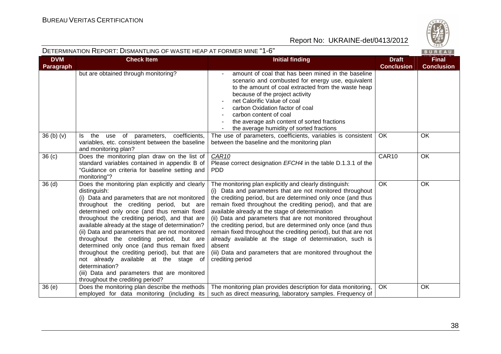

#### DETERMINATION REPORT: DISMANTLING OF WASTE HEAP AT FORMER MINE "1-6"

|                                |                                                                                                                                                                                                                                                                                                                                                                                                                                                                                                                                                                                                                                                                   |                                                                                                                                                                                                                                                                                                                                                                                                                                                                                                                                                                                                                                                                  |                                   | $\sim$ $\sim$ $\sim$ $\sim$ $\sim$ |
|--------------------------------|-------------------------------------------------------------------------------------------------------------------------------------------------------------------------------------------------------------------------------------------------------------------------------------------------------------------------------------------------------------------------------------------------------------------------------------------------------------------------------------------------------------------------------------------------------------------------------------------------------------------------------------------------------------------|------------------------------------------------------------------------------------------------------------------------------------------------------------------------------------------------------------------------------------------------------------------------------------------------------------------------------------------------------------------------------------------------------------------------------------------------------------------------------------------------------------------------------------------------------------------------------------------------------------------------------------------------------------------|-----------------------------------|------------------------------------|
| <b>DVM</b><br><b>Paragraph</b> | <b>Check Item</b>                                                                                                                                                                                                                                                                                                                                                                                                                                                                                                                                                                                                                                                 | <b>Initial finding</b>                                                                                                                                                                                                                                                                                                                                                                                                                                                                                                                                                                                                                                           | <b>Draft</b><br><b>Conclusion</b> | <b>Final</b><br><b>Conclusion</b>  |
|                                | but are obtained through monitoring?                                                                                                                                                                                                                                                                                                                                                                                                                                                                                                                                                                                                                              | amount of coal that has been mined in the baseline<br>scenario and combusted for energy use, equivalent<br>to the amount of coal extracted from the waste heap<br>because of the project activity<br>net Calorific Value of coal<br>carbon Oxidation factor of coal<br>carbon content of coal<br>the average ash content of sorted fractions<br>the average humidity of sorted fractions                                                                                                                                                                                                                                                                         |                                   |                                    |
| 36(b)(v)                       | parameters, coefficients,<br>Is the<br>use of<br>variables, etc. consistent between the baseline<br>and monitoring plan?                                                                                                                                                                                                                                                                                                                                                                                                                                                                                                                                          | The use of parameters, coefficients, variables is consistent<br>between the baseline and the monitoring plan                                                                                                                                                                                                                                                                                                                                                                                                                                                                                                                                                     | OK                                | <b>OK</b>                          |
| 36 <sub>(c)</sub>              | Does the monitoring plan draw on the list of<br>standard variables contained in appendix B of<br>"Guidance on criteria for baseline setting and<br>monitoring"?                                                                                                                                                                                                                                                                                                                                                                                                                                                                                                   | CAR10<br>Please correct designation EFCH4 in the table D.1.3.1 of the<br><b>PDD</b>                                                                                                                                                                                                                                                                                                                                                                                                                                                                                                                                                                              | CAR10                             | <b>OK</b>                          |
| 36(d)                          | Does the monitoring plan explicitly and clearly<br>distinguish:<br>(i) Data and parameters that are not monitored<br>throughout the crediting period, but are<br>determined only once (and thus remain fixed<br>throughout the crediting period), and that are<br>available already at the stage of determination?<br>(ii) Data and parameters that are not monitored<br>throughout the crediting period, but are<br>determined only once (and thus remain fixed<br>throughout the crediting period), but that are<br>not already available at the stage of<br>determination?<br>(iii) Data and parameters that are monitored<br>throughout the crediting period? | The monitoring plan explicitly and clearly distinguish:<br>(i) Data and parameters that are not monitored throughout<br>the crediting period, but are determined only once (and thus<br>remain fixed throughout the crediting period), and that are<br>available already at the stage of determination<br>(ii) Data and parameters that are not monitored throughout<br>the crediting period, but are determined only once (and thus<br>remain fixed throughout the crediting period), but that are not<br>already available at the stage of determination, such is<br>absent<br>(iii) Data and parameters that are monitored throughout the<br>crediting period | <b>OK</b>                         | <b>OK</b>                          |
| 36(e)                          | Does the monitoring plan describe the methods<br>employed for data monitoring (including its                                                                                                                                                                                                                                                                                                                                                                                                                                                                                                                                                                      | The monitoring plan provides description for data monitoring,<br>such as direct measuring, laboratory samples. Frequency of                                                                                                                                                                                                                                                                                                                                                                                                                                                                                                                                      | <b>OK</b>                         | OK                                 |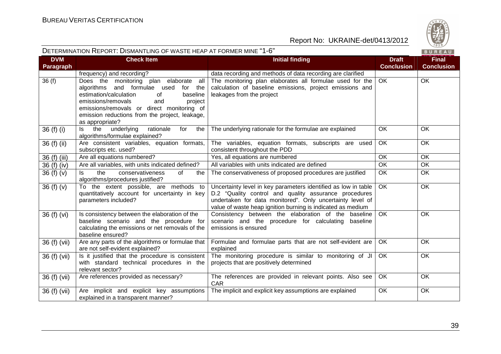

|                   | <b>BURE</b> |
|-------------------|-------------|
| <b>Draft</b>      | <b>Fina</b> |
| <b>Conclusion</b> | Conclu      |

| DETERMINATION REPORT: DISMANTLING OF WASTE HEAP AT FORMER MINE "1-6" |  |                        |       |  |
|----------------------------------------------------------------------|--|------------------------|-------|--|
| <b>DVM</b>                                                           |  | <b>Initial finding</b> | Draft |  |

| <b>Paragraph</b> |                                                                                                                                                                                                                                                                                          |                                                                                                                                                                                                                                                     | <b>Conclusion</b> | <b>Conclusion</b> |
|------------------|------------------------------------------------------------------------------------------------------------------------------------------------------------------------------------------------------------------------------------------------------------------------------------------|-----------------------------------------------------------------------------------------------------------------------------------------------------------------------------------------------------------------------------------------------------|-------------------|-------------------|
|                  | frequency) and recording?                                                                                                                                                                                                                                                                | data recording and methods of data recording are clarified                                                                                                                                                                                          |                   |                   |
| 36(f)            | Does the monitoring plan elaborate all<br>algorithms and formulae used<br>for the<br>estimation/calculation<br>baseline<br>0f<br>emissions/removals<br>project<br>and<br>emissions/removals or direct monitoring of<br>emission reductions from the project, leakage,<br>as appropriate? | The monitoring plan elaborates all formulae used for the<br>calculation of baseline emissions, project emissions and<br>leakages from the project                                                                                                   | OK                | OK                |
| 36 (f) (i)       | underlying<br>rationale<br>the<br>the<br>ls l<br>for<br>algorithms/formulae explained?                                                                                                                                                                                                   | The underlying rationale for the formulae are explained                                                                                                                                                                                             | <b>OK</b>         | OK                |
| 36 (f) (ii)      | Are consistent variables, equation formats,<br>subscripts etc. used?                                                                                                                                                                                                                     | The variables, equation formats, subscripts are used<br>consistent throughout the PDD                                                                                                                                                               | OK                | OK                |
| 36 (f) (iii)     | Are all equations numbered?                                                                                                                                                                                                                                                              | Yes, all equations are numbered                                                                                                                                                                                                                     | $\overline{OK}$   | OK                |
| 36 (f) (iv)      | Are all variables, with units indicated defined?                                                                                                                                                                                                                                         | All variables with units indicated are defined                                                                                                                                                                                                      | $\overline{OK}$   | OK                |
| 36(f)(v)         | $\mathsf{ls}$<br>the<br>conservativeness<br>of<br>the<br>algorithms/procedures justified?                                                                                                                                                                                                | The conservativeness of proposed procedures are justified                                                                                                                                                                                           | $\overline{OK}$   | OK                |
| 36(f)(v)         | To the extent possible, are methods to<br>quantitatively account for uncertainty in key<br>parameters included?                                                                                                                                                                          | Uncertainty level in key parameters identified as low in table<br>D.2 "Quality control and quality assurance procedures<br>undertaken for data monitored". Only uncertainty level of<br>value of waste heap ignition burning is indicated as medium | $\overline{OK}$   | OK                |
| 36 (f) (vi)      | Is consistency between the elaboration of the<br>baseline scenario and the procedure for<br>calculating the emissions or net removals of the<br>baseline ensured?                                                                                                                        | Consistency between the elaboration of the baseline<br>scenario and the procedure for calculating baseline<br>emissions is ensured                                                                                                                  | OK.               | OK                |
| 36 (f) (vii)     | Are any parts of the algorithms or formulae that<br>are not self-evident explained?                                                                                                                                                                                                      | Formulae and formulae parts that are not self-evident are<br>explained                                                                                                                                                                              | OK                | OK                |
| 36 (f) (vii)     | Is it justified that the procedure is consistent<br>with standard technical procedures in the<br>relevant sector?                                                                                                                                                                        | The monitoring procedure is similar to monitoring of JI<br>projects that are positively determined                                                                                                                                                  | OK                | OK                |
| 36 (f) (vii)     | Are references provided as necessary?                                                                                                                                                                                                                                                    | The references are provided in relevant points. Also see<br><b>CAR</b>                                                                                                                                                                              | OK                | OK                |
| 36 (f) (vii)     | Are implicit and explicit key assumptions<br>explained in a transparent manner?                                                                                                                                                                                                          | The implicit and explicit key assumptions are explained                                                                                                                                                                                             | OK                | OK                |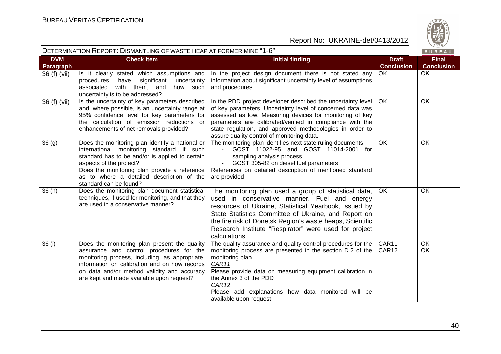

| DETERMINATION REPORT: DISMANTLING OF WASTE HEAP AT FORMER MINE "1-6"<br>BUREAU |                                                                                                                                                                                                                                                                                                   |                                                                                                                                                                                                                                                                                                                                                               |                                   |                                   |
|--------------------------------------------------------------------------------|---------------------------------------------------------------------------------------------------------------------------------------------------------------------------------------------------------------------------------------------------------------------------------------------------|---------------------------------------------------------------------------------------------------------------------------------------------------------------------------------------------------------------------------------------------------------------------------------------------------------------------------------------------------------------|-----------------------------------|-----------------------------------|
| <b>DVM</b><br>Paragraph                                                        | <b>Check Item</b>                                                                                                                                                                                                                                                                                 | <b>Initial finding</b>                                                                                                                                                                                                                                                                                                                                        | <b>Draft</b><br><b>Conclusion</b> | <b>Final</b><br><b>Conclusion</b> |
| 36 (f) (vii)                                                                   | Is it clearly stated which assumptions and<br>significant<br>procedures<br>have<br>uncertainty<br>with them, and<br>associated<br>how such<br>uncertainty is to be addressed?                                                                                                                     | In the project design document there is not stated any<br>information about significant uncertainty level of assumptions<br>and procedures.                                                                                                                                                                                                                   | OK                                | OK                                |
| 36 (f) (vii)                                                                   | Is the uncertainty of key parameters described<br>and, where possible, is an uncertainty range at<br>95% confidence level for key parameters for<br>the calculation of emission reductions or<br>enhancements of net removals provided?                                                           | In the PDD project developer described the uncertainty level<br>of key parameters. Uncertainty level of concerned data was<br>assessed as low. Measuring devices for monitoring of key<br>parameters are calibrated/verified in compliance with the<br>state regulation, and approved methodologies in order to<br>assure quality control of monitoring data. | OK                                | <b>OK</b>                         |
| 36(9)                                                                          | Does the monitoring plan identify a national or<br>international monitoring standard if such<br>standard has to be and/or is applied to certain<br>aspects of the project?<br>Does the monitoring plan provide a reference<br>as to where a detailed description of the<br>standard can be found? | The monitoring plan identifies next state ruling documents:<br>GOST 11022-95 and GOST 11014-2001 for<br>sampling analysis process<br>GOST 305-82 on diesel fuel parameters<br>References on detailed description of mentioned standard<br>are provided                                                                                                        | $\overline{OK}$                   | OK                                |
| 36(h)                                                                          | Does the monitoring plan document statistical<br>techniques, if used for monitoring, and that they<br>are used in a conservative manner?                                                                                                                                                          | The monitoring plan used a group of statistical data,<br>used in conservative manner. Fuel and energy<br>resources of Ukraine, Statistical Yearbook, issued by<br>State Statistics Committee of Ukraine, and Report on<br>the fire risk of Donetsk Region's waste heaps, Scientific<br>Research Institute "Respirator" were used for project<br>calculations  | OK                                | OK                                |
| 36 (i)                                                                         | Does the monitoring plan present the quality<br>assurance and control procedures for the<br>monitoring process, including, as appropriate,<br>information on calibration and on how records<br>on data and/or method validity and accuracy<br>are kept and made available upon request?           | The quality assurance and quality control procedures for the<br>monitoring process are presented in the section D.2 of the<br>monitoring plan.<br>CAR11<br>Please provide data on measuring equipment calibration in<br>the Annex 3 of the PDD<br>CAR12<br>Please add explanations how data monitored will be<br>available upon request                       | CAR11<br>CAR12                    | <b>OK</b><br>OK                   |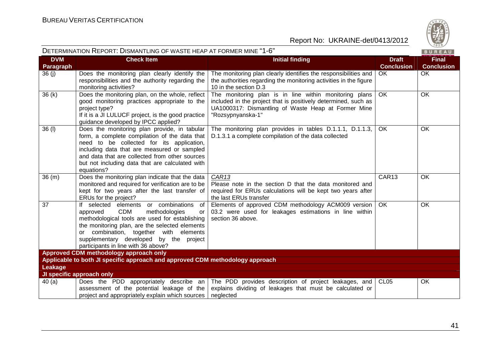

| DETERMINATION REPORT: DISMANTLING OF WASTE HEAP AT FORMER MINE "1-6"<br>BUREAU |                                                                                                                                                                                                                                                                                                                            |                                                                                                                                                                                                      |                                   |                                   |
|--------------------------------------------------------------------------------|----------------------------------------------------------------------------------------------------------------------------------------------------------------------------------------------------------------------------------------------------------------------------------------------------------------------------|------------------------------------------------------------------------------------------------------------------------------------------------------------------------------------------------------|-----------------------------------|-----------------------------------|
| <b>DVM</b><br>Paragraph                                                        | <b>Check Item</b>                                                                                                                                                                                                                                                                                                          | <b>Initial finding</b>                                                                                                                                                                               | <b>Draft</b><br><b>Conclusion</b> | <b>Final</b><br><b>Conclusion</b> |
| 36(j)                                                                          | Does the monitoring plan clearly identify the<br>responsibilities and the authority regarding the<br>monitoring activities?                                                                                                                                                                                                | The monitoring plan clearly identifies the responsibilities and<br>the authorities regarding the monitoring activities in the figure<br>10 in the section D.3                                        | <b>OK</b>                         | <b>OK</b>                         |
| 36(k)                                                                          | Does the monitoring plan, on the whole, reflect<br>good monitoring practices appropriate to the<br>project type?<br>If it is a JI LULUCF project, is the good practice<br>guidance developed by IPCC applied?                                                                                                              | The monitoring plan is in line within monitoring plans<br>included in the project that is positively determined, such as<br>UA1000317: Dismantling of Waste Heap at Former Mine<br>"Rozsypnyanska-1" | <b>OK</b>                         | <b>OK</b>                         |
| 36 (I)                                                                         | Does the monitoring plan provide, in tabular<br>form, a complete compilation of the data that<br>need to be collected for its application,<br>including data that are measured or sampled<br>and data that are collected from other sources<br>but not including data that are calculated with<br>equations?               | The monitoring plan provides in tables D.1.1.1, D.1.1.3,<br>D.1.3.1 a complete compilation of the data collected                                                                                     | OK.                               | <b>OK</b>                         |
| 36(m)                                                                          | Does the monitoring plan indicate that the data<br>monitored and required for verification are to be<br>kept for two years after the last transfer of<br>ERUs for the project?                                                                                                                                             | CAR <sub>13</sub><br>Please note in the section D that the data monitored and<br>required for ERUs calculations will be kept two years after<br>the last ERUs transfer                               | CAR13                             | <b>OK</b>                         |
| 37                                                                             | If selected elements or combinations<br>of<br>approved<br><b>CDM</b><br>methodologies<br>or<br>methodological tools are used for establishing<br>the monitoring plan, are the selected elements<br>or combination, together with elements<br>supplementary developed by the project<br>participants in line with 36 above? | Elements of approved CDM methodology ACM009 version<br>03.2 were used for leakages estimations in line within<br>section 36 above.                                                                   | OK.                               | <b>OK</b>                         |
|                                                                                | Approved CDM methodology approach only                                                                                                                                                                                                                                                                                     |                                                                                                                                                                                                      |                                   |                                   |
| Leakage                                                                        | Applicable to both JI specific approach and approved CDM methodology approach                                                                                                                                                                                                                                              |                                                                                                                                                                                                      |                                   |                                   |
|                                                                                | JI specific approach only                                                                                                                                                                                                                                                                                                  |                                                                                                                                                                                                      |                                   |                                   |
| 40(a)                                                                          | Does the PDD appropriately describe an<br>assessment of the potential leakage of the<br>project and appropriately explain which sources                                                                                                                                                                                    | The PDD provides description of project leakages, and<br>explains dividing of leakages that must be calculated or<br>neglected                                                                       | CL <sub>05</sub>                  | OK                                |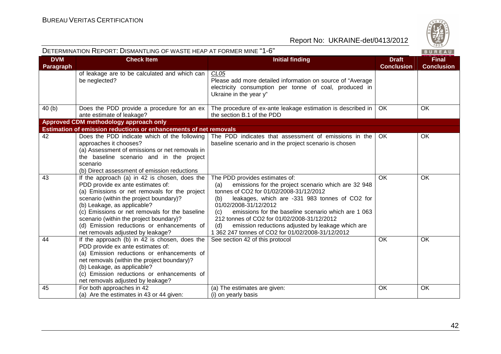

| DETERMINATION REPORT: DISMANTLING OF WASTE HEAP AT FORMER MINE "1-6" |                                                                                                                                                                                                                                                                                                                                                                                               |                                                                                                                                                                                                                                                                                                                                                                                                                                                         |                                   | $\vee$ 829/<br>BUREAU             |
|----------------------------------------------------------------------|-----------------------------------------------------------------------------------------------------------------------------------------------------------------------------------------------------------------------------------------------------------------------------------------------------------------------------------------------------------------------------------------------|---------------------------------------------------------------------------------------------------------------------------------------------------------------------------------------------------------------------------------------------------------------------------------------------------------------------------------------------------------------------------------------------------------------------------------------------------------|-----------------------------------|-----------------------------------|
| <b>DVM</b><br>Paragraph                                              | <b>Check Item</b>                                                                                                                                                                                                                                                                                                                                                                             | <b>Initial finding</b>                                                                                                                                                                                                                                                                                                                                                                                                                                  | <b>Draft</b><br><b>Conclusion</b> | <b>Final</b><br><b>Conclusion</b> |
|                                                                      | of leakage are to be calculated and which can<br>be neglected?                                                                                                                                                                                                                                                                                                                                | CL <sub>05</sub><br>Please add more detailed information on source of "Average"<br>electricity consumption per tonne of coal, produced in<br>Ukraine in the year y"                                                                                                                                                                                                                                                                                     |                                   |                                   |
| 40(b)                                                                | Does the PDD provide a procedure for an ex<br>ante estimate of leakage?                                                                                                                                                                                                                                                                                                                       | The procedure of ex-ante leakage estimation is described in<br>the section B.1 of the PDD                                                                                                                                                                                                                                                                                                                                                               | OK.                               | <b>OK</b>                         |
|                                                                      | Approved CDM methodology approach only                                                                                                                                                                                                                                                                                                                                                        |                                                                                                                                                                                                                                                                                                                                                                                                                                                         |                                   |                                   |
|                                                                      | Estimation of emission reductions or enhancements of net removals                                                                                                                                                                                                                                                                                                                             |                                                                                                                                                                                                                                                                                                                                                                                                                                                         |                                   |                                   |
| 42                                                                   | Does the PDD indicate which of the following<br>approaches it chooses?<br>(a) Assessment of emissions or net removals in<br>the baseline scenario and in the project<br>scenario<br>(b) Direct assessment of emission reductions                                                                                                                                                              | The PDD indicates that assessment of emissions in the<br>baseline scenario and in the project scenario is chosen                                                                                                                                                                                                                                                                                                                                        | OK.                               | <b>OK</b>                         |
| 43                                                                   | If the approach (a) in 42 is chosen, does the<br>PDD provide ex ante estimates of:<br>(a) Emissions or net removals for the project<br>scenario (within the project boundary)?<br>(b) Leakage, as applicable?<br>(c) Emissions or net removals for the baseline<br>scenario (within the project boundary)?<br>(d) Emission reductions or enhancements of<br>net removals adjusted by leakage? | The PDD provides estimates of:<br>emissions for the project scenario which are 32 948<br>(a)<br>tonnes of CO2 for 01/02/2008-31/12/2012<br>leakages, which are -331 983 tonnes of CO2 for<br>(b)<br>01/02/2008-31/12/2012<br>emissions for the baseline scenario which are 1 063<br>(c)<br>212 tonnes of CO2 for 01/02/2008-31/12/2012<br>emission reductions adjusted by leakage which are<br>(d)<br>1 362 247 tonnes of CO2 for 01/02/2008-31/12/2012 | <b>OK</b>                         | OK                                |
| 44                                                                   | If the approach (b) in 42 is chosen, does the<br>PDD provide ex ante estimates of:<br>(a) Emission reductions or enhancements of<br>net removals (within the project boundary)?<br>(b) Leakage, as applicable?<br>(c) Emission reductions or enhancements of<br>net removals adjusted by leakage?                                                                                             | See section 42 of this protocol                                                                                                                                                                                                                                                                                                                                                                                                                         | <b>OK</b>                         | <b>OK</b>                         |
| 45                                                                   | For both approaches in 42<br>(a) Are the estimates in 43 or 44 given:                                                                                                                                                                                                                                                                                                                         | (a) The estimates are given:<br>(i) on yearly basis                                                                                                                                                                                                                                                                                                                                                                                                     | OK                                | <b>OK</b>                         |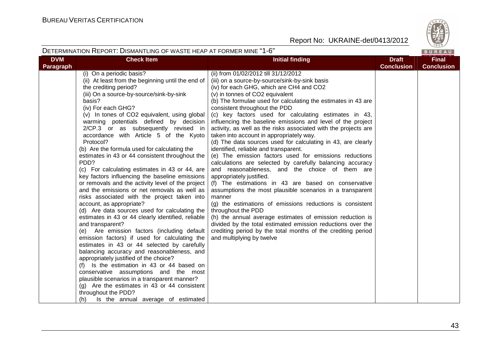

| DETERMINATION REPORT: DISMANTLING OF WASTE HEAP AT FORMER MINE "1-6"<br>BUREAU |                                                                                                                                                                                                                                                                                                                                                                                                                                                                                                                                                                                                                                                                                                                                                                                                                                                                                                                                                                                                                                                                                                                                                                                                                                                                                                                                                                                                          |                                                                                                                                                                                                                                                                                                                                                                                                                                                                                                                                                                                                                                                                                                                                                                                                                                                                                                                                                                                                                                                                                                                                                                                                                                                                        |                                   |                                   |  |
|--------------------------------------------------------------------------------|----------------------------------------------------------------------------------------------------------------------------------------------------------------------------------------------------------------------------------------------------------------------------------------------------------------------------------------------------------------------------------------------------------------------------------------------------------------------------------------------------------------------------------------------------------------------------------------------------------------------------------------------------------------------------------------------------------------------------------------------------------------------------------------------------------------------------------------------------------------------------------------------------------------------------------------------------------------------------------------------------------------------------------------------------------------------------------------------------------------------------------------------------------------------------------------------------------------------------------------------------------------------------------------------------------------------------------------------------------------------------------------------------------|------------------------------------------------------------------------------------------------------------------------------------------------------------------------------------------------------------------------------------------------------------------------------------------------------------------------------------------------------------------------------------------------------------------------------------------------------------------------------------------------------------------------------------------------------------------------------------------------------------------------------------------------------------------------------------------------------------------------------------------------------------------------------------------------------------------------------------------------------------------------------------------------------------------------------------------------------------------------------------------------------------------------------------------------------------------------------------------------------------------------------------------------------------------------------------------------------------------------------------------------------------------------|-----------------------------------|-----------------------------------|--|
| <b>DVM</b><br>Paragraph                                                        | <b>Check Item</b>                                                                                                                                                                                                                                                                                                                                                                                                                                                                                                                                                                                                                                                                                                                                                                                                                                                                                                                                                                                                                                                                                                                                                                                                                                                                                                                                                                                        | <b>Initial finding</b>                                                                                                                                                                                                                                                                                                                                                                                                                                                                                                                                                                                                                                                                                                                                                                                                                                                                                                                                                                                                                                                                                                                                                                                                                                                 | <b>Draft</b><br><b>Conclusion</b> | <b>Final</b><br><b>Conclusion</b> |  |
|                                                                                | (i) On a periodic basis?<br>(ii) At least from the beginning until the end of<br>the crediting period?<br>(iii) On a source-by-source/sink-by-sink<br>basis?<br>(iv) For each GHG?<br>(v) In tones of CO2 equivalent, using global<br>warming potentials defined by decision<br>2/CP.3 or as subsequently revised in<br>accordance with Article 5 of the Kyoto<br>Protocol?<br>(b) Are the formula used for calculating the<br>estimates in 43 or 44 consistent throughout the<br>PDD?<br>(c) For calculating estimates in 43 or 44, are<br>key factors influencing the baseline emissions<br>or removals and the activity level of the project<br>and the emissions or net removals as well as<br>risks associated with the project taken into<br>account, as appropriate?<br>(d) Are data sources used for calculating the<br>estimates in 43 or 44 clearly identified, reliable<br>and transparent?<br>(e) Are emission factors (including default<br>emission factors) if used for calculating the<br>estimates in 43 or 44 selected by carefully<br>balancing accuracy and reasonableness, and<br>appropriately justified of the choice?<br>(f) Is the estimation in 43 or 44 based on<br>conservative assumptions and the most<br>plausible scenarios in a transparent manner?<br>(g) Are the estimates in 43 or 44 consistent<br>throughout the PDD?<br>Is the annual average of estimated<br>(h) | (ii) from 01/02/2012 till 31/12/2012<br>(iii) on a source-by-source/sink-by-sink basis<br>(iv) for each GHG, which are CH4 and CO2<br>(v) in tonnes of CO2 equivalent<br>(b) The formulae used for calculating the estimates in 43 are<br>consistent throughout the PDD<br>(c) key factors used for calculating estimates in 43,<br>influencing the baseline emissions and level of the project<br>activity, as well as the risks associated with the projects are<br>taken into account in appropriately way.<br>(d) The data sources used for calculating in 43, are clearly<br>identified, reliable and transparent.<br>(e) The emission factors used for emissions reductions<br>calculations are selected by carefully balancing accuracy<br>and reasonableness, and the choice of them are<br>appropriately justified.<br>(f) The estimations in 43 are based on conservative<br>assumptions the most plausible scenarios in a transparent<br>manner<br>(g) the estimations of emissions reductions is consistent<br>throughout the PDD<br>(h) the annual average estimates of emission reduction is<br>divided by the total estimated emission reductions over the<br>crediting period by the total months of the crediting period<br>and multiplying by twelve |                                   |                                   |  |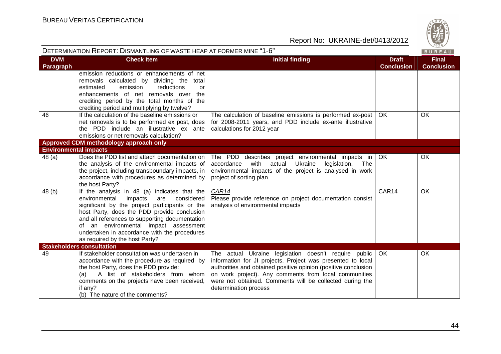

| DETERMINATION REPORT: DISMANTLING OF WASTE HEAP AT FORMER MINE "1-6"<br>BUREAU |                                                                                                                                                                                                                                                                                                                                                                          |                                                                                                                                                                                                                                                                                                                                      |                                   |                                   |  |
|--------------------------------------------------------------------------------|--------------------------------------------------------------------------------------------------------------------------------------------------------------------------------------------------------------------------------------------------------------------------------------------------------------------------------------------------------------------------|--------------------------------------------------------------------------------------------------------------------------------------------------------------------------------------------------------------------------------------------------------------------------------------------------------------------------------------|-----------------------------------|-----------------------------------|--|
| <b>DVM</b><br>Paragraph                                                        | <b>Check Item</b>                                                                                                                                                                                                                                                                                                                                                        | <b>Initial finding</b>                                                                                                                                                                                                                                                                                                               | <b>Draft</b><br><b>Conclusion</b> | <b>Final</b><br><b>Conclusion</b> |  |
|                                                                                | emission reductions or enhancements of net<br>removals calculated by dividing the total<br>emission<br>reductions<br>estimated<br>or<br>enhancements of net removals over<br>the<br>crediting period by the total months of the<br>crediting period and multiplying by twelve?                                                                                           |                                                                                                                                                                                                                                                                                                                                      |                                   |                                   |  |
| 46                                                                             | If the calculation of the baseline emissions or<br>net removals is to be performed ex post, does<br>the PDD include an illustrative ex ante<br>emissions or net removals calculation?                                                                                                                                                                                    | The calculation of baseline emissions is performed ex-post   OK<br>for 2008-2011 years, and PDD include ex-ante illustrative<br>calculations for 2012 year                                                                                                                                                                           |                                   | OK                                |  |
|                                                                                | Approved CDM methodology approach only                                                                                                                                                                                                                                                                                                                                   |                                                                                                                                                                                                                                                                                                                                      |                                   |                                   |  |
| <b>Environmental impacts</b>                                                   |                                                                                                                                                                                                                                                                                                                                                                          |                                                                                                                                                                                                                                                                                                                                      |                                   |                                   |  |
| 48 (a)                                                                         | Does the PDD list and attach documentation on<br>the analysis of the environmental impacts of<br>the project, including transboundary impacts, in<br>accordance with procedures as determined by<br>the host Party?                                                                                                                                                      | The PDD describes project environmental impacts in<br>with actual<br>accordance<br>Ukraine<br>legislation.<br>The<br>environmental impacts of the project is analysed in work<br>project of sorting plan.                                                                                                                            | OK.                               | OK                                |  |
| 48 (b)                                                                         | If the analysis in 48 (a) indicates that the<br>environmental impacts<br>considered<br>are<br>significant by the project participants or the<br>host Party, does the PDD provide conclusion<br>and all references to supporting documentation<br>of an environmental impact assessment<br>undertaken in accordance with the procedures<br>as required by the host Party? | CAR14<br>Please provide reference on project documentation consist<br>analysis of environmental impacts                                                                                                                                                                                                                              | CAR14                             | <b>OK</b>                         |  |
|                                                                                | <b>Stakeholders consultation</b>                                                                                                                                                                                                                                                                                                                                         |                                                                                                                                                                                                                                                                                                                                      |                                   |                                   |  |
| 49                                                                             | If stakeholder consultation was undertaken in<br>accordance with the procedure as required by<br>the host Party, does the PDD provide:<br>A list of stakeholders from whom<br>(a)<br>comments on the projects have been received,<br>if any?<br>(b) The nature of the comments?                                                                                          | The actual Ukraine legislation doesn't require public<br>information for JI projects. Project was presented to local<br>authorities and obtained positive opinion (positive conclusion<br>on work project). Any comments from local communities<br>were not obtained. Comments will be collected during the<br>determination process | OK                                | OK                                |  |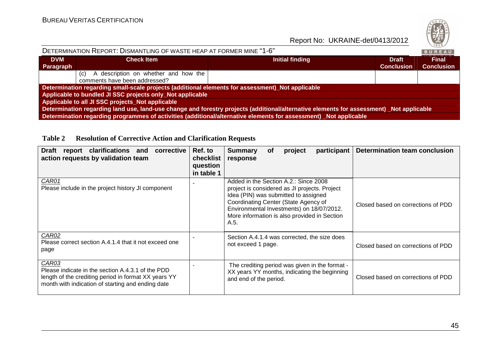

| DETERMINATION REPORT: DISMANTLING OF WASTE HEAP AT FORMER MINE "1-6"                                                                    |                                                                           |                 |                                   |                                   |  |  |
|-----------------------------------------------------------------------------------------------------------------------------------------|---------------------------------------------------------------------------|-----------------|-----------------------------------|-----------------------------------|--|--|
| <b>DVM</b><br>Paragraph                                                                                                                 | <b>Check Item</b>                                                         | Initial finding | <b>Draft</b><br><b>Conclusion</b> | <b>Final</b><br><b>Conclusion</b> |  |  |
|                                                                                                                                         | (c) A description on whether and how the<br>comments have been addressed? |                 |                                   |                                   |  |  |
| Determination regarding small-scale projects (additional elements for assessment) Not applicable                                        |                                                                           |                 |                                   |                                   |  |  |
| Applicable to bundled JI SSC projects only_Not applicable                                                                               |                                                                           |                 |                                   |                                   |  |  |
| Applicable to all JI SSC projects_Not applicable                                                                                        |                                                                           |                 |                                   |                                   |  |  |
| Determination regarding land use, land-use change and forestry projects (additional/alternative elements for assessment) Not applicable |                                                                           |                 |                                   |                                   |  |  |
| Determination regarding programmes of activities (additional/alternative elements for assessment) Not applicable                        |                                                                           |                 |                                   |                                   |  |  |

| Table 2 |  |  | <b>Resolution of Corrective Action and Clarification Requests</b> |  |
|---------|--|--|-------------------------------------------------------------------|--|
|---------|--|--|-------------------------------------------------------------------|--|

| <b>Draft</b><br>report clarifications and<br>corrective<br>action requests by validation team                                                                           | Ref. to<br>checklist<br>question<br>in table 1 | <b>Summary</b><br>participant<br><b>of</b><br>project<br>response                                                                                                                                                                                                           | Determination team conclusion      |
|-------------------------------------------------------------------------------------------------------------------------------------------------------------------------|------------------------------------------------|-----------------------------------------------------------------------------------------------------------------------------------------------------------------------------------------------------------------------------------------------------------------------------|------------------------------------|
| CAR01<br>Please include in the project history JI component                                                                                                             |                                                | Added in the Section A.2.: Since 2008<br>project is considered as JI projects. Project<br>Idea (PIN) was submitted to assigned<br>Coordinating Center (State Agency of<br>Environmental Investments) on 18/07/2012.<br>More information is also provided in Section<br>A.5. | Closed based on corrections of PDD |
| CAR02<br>Please correct section A.4.1.4 that it not exceed one<br>page                                                                                                  |                                                | Section A.4.1.4 was corrected, the size does<br>not exceed 1 page.                                                                                                                                                                                                          | Closed based on corrections of PDD |
| CAR03<br>Please indicate in the section A.4.3.1 of the PDD<br>length of the crediting period in format XX years YY<br>month with indication of starting and ending date |                                                | The crediting period was given in the format -<br>XX years YY months, indicating the beginning<br>and end of the period.                                                                                                                                                    | Closed based on corrections of PDD |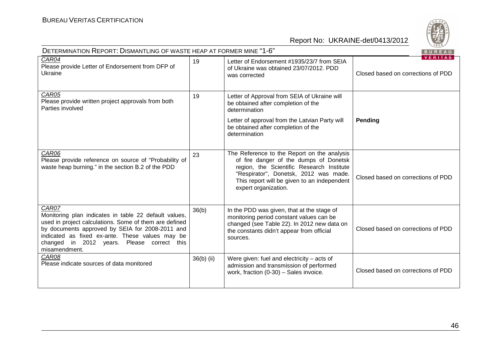

| DETERMINATION REPORT: DISMANTLING OF WASTE HEAP AT FORMER MINE "1-6"<br>BUREAU                                                                                                                                                                                                                |              |                                                                                                                                                                                                                                                    |                                                      |  |  |
|-----------------------------------------------------------------------------------------------------------------------------------------------------------------------------------------------------------------------------------------------------------------------------------------------|--------------|----------------------------------------------------------------------------------------------------------------------------------------------------------------------------------------------------------------------------------------------------|------------------------------------------------------|--|--|
| CAR04<br>Please provide Letter of Endorsement from DFP of<br>Ukraine                                                                                                                                                                                                                          | 19           | Letter of Endorsement #1935/23/7 from SEIA<br>of Ukraine was obtained 23/07/2012. PDD<br>was corrected                                                                                                                                             | <b>VERITAS</b><br>Closed based on corrections of PDD |  |  |
| CAR05<br>Please provide written project approvals from both<br>Parties involved                                                                                                                                                                                                               | 19           | Letter of Approval from SEIA of Ukraine will<br>be obtained after completion of the<br>determination<br>Letter of approval from the Latvian Party will<br>be obtained after completion of the<br>determination                                     | Pending                                              |  |  |
| CAR06<br>Please provide reference on source of "Probability of<br>waste heap burning." in the section B.2 of the PDD                                                                                                                                                                          | 23           | The Reference to the Report on the analysis<br>of fire danger of the dumps of Donetsk<br>region, the Scientific Research Institute<br>"Respirator", Donetsk, 2012 was made.<br>This report will be given to an independent<br>expert organization. | Closed based on corrections of PDD                   |  |  |
| CAR07<br>Monitoring plan indicates in table 22 default values,<br>used in project calculations. Some of them are defined<br>by documents approved by SEIA for 2008-2011 and<br>indicated as fixed ex-ante. These values may be<br>changed in 2012 years. Please correct this<br>misamendment. | 36(b)        | In the PDD was given, that at the stage of<br>monitoring period constant values can be<br>changed (see Table 22). In 2012 new data on<br>the constants didn't appear from official<br>sources.                                                     | Closed based on corrections of PDD                   |  |  |
| CAR08<br>Please indicate sources of data monitored                                                                                                                                                                                                                                            | $36(b)$ (ii) | Were given: fuel and electricity $-$ acts of<br>admission and transmission of performed<br>work, fraction (0-30) - Sales invoice.                                                                                                                  | Closed based on corrections of PDD                   |  |  |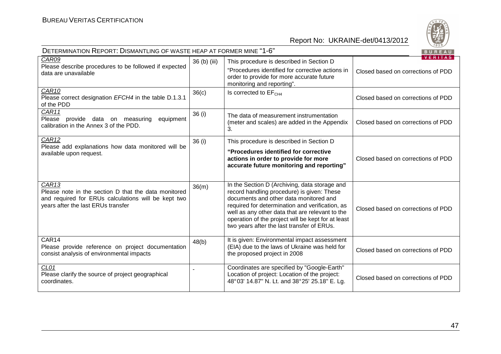

| DETERMINATION REPORT: DISMANTLING OF WASTE HEAP AT FORMER MINE "1-6"<br>BUREAU                                                                                         |              |                                                                                                                                                                                                                                                                                                                                                 |                                                      |  |  |
|------------------------------------------------------------------------------------------------------------------------------------------------------------------------|--------------|-------------------------------------------------------------------------------------------------------------------------------------------------------------------------------------------------------------------------------------------------------------------------------------------------------------------------------------------------|------------------------------------------------------|--|--|
| CAR09<br>Please describe procedures to be followed if expected<br>data are unavailable                                                                                 | 36 (b) (iii) | This procedure is described in Section D<br>"Procedures identified for corrective actions in<br>order to provide for more accurate future<br>monitoring and reporting".                                                                                                                                                                         | <b>VERITAS</b><br>Closed based on corrections of PDD |  |  |
| CAR <sub>10</sub><br>Please correct designation EFCH4 in the table D.1.3.1<br>of the PDD                                                                               | 36(c)        | Is corrected to $EFCH4$                                                                                                                                                                                                                                                                                                                         | Closed based on corrections of PDD                   |  |  |
| CAR11<br>provide data on measuring<br>equipment<br>Please<br>calibration in the Annex 3 of the PDD.                                                                    | 36 (i)       | The data of measurement instrumentation<br>(meter and scales) are added in the Appendix<br>3.                                                                                                                                                                                                                                                   | Closed based on corrections of PDD                   |  |  |
| CAR <sub>12</sub><br>Please add explanations how data monitored will be<br>available upon request.                                                                     | 36(i)        | This procedure is described in Section D<br>"Procedures identified for corrective<br>actions in order to provide for more<br>accurate future monitoring and reporting"                                                                                                                                                                          | Closed based on corrections of PDD                   |  |  |
| CAR <sub>13</sub><br>Please note in the section D that the data monitored<br>and required for ERUs calculations will be kept two<br>years after the last ERUs transfer | 36(m)        | In the Section D (Archiving, data storage and<br>record handling procedure) is given: These<br>documents and other data monitored and<br>required for determination and verification, as<br>well as any other data that are relevant to the<br>operation of the project will be kept for at least<br>two years after the last transfer of ERUs. | Closed based on corrections of PDD                   |  |  |
| CAR14<br>Please provide reference on project documentation<br>consist analysis of environmental impacts                                                                | 48(b)        | It is given: Environmental impact assessment<br>(EIA) due to the laws of Ukraine was held for<br>the proposed project in 2008                                                                                                                                                                                                                   | Closed based on corrections of PDD                   |  |  |
| CL01<br>Please clarify the source of project geographical<br>coordinates.                                                                                              |              | Coordinates are specified by "Google-Earth"<br>Location of project: Location of the project:<br>48°03' 14.87" N. Lt. and 38°25' 25.18" E. Lg.                                                                                                                                                                                                   | Closed based on corrections of PDD                   |  |  |